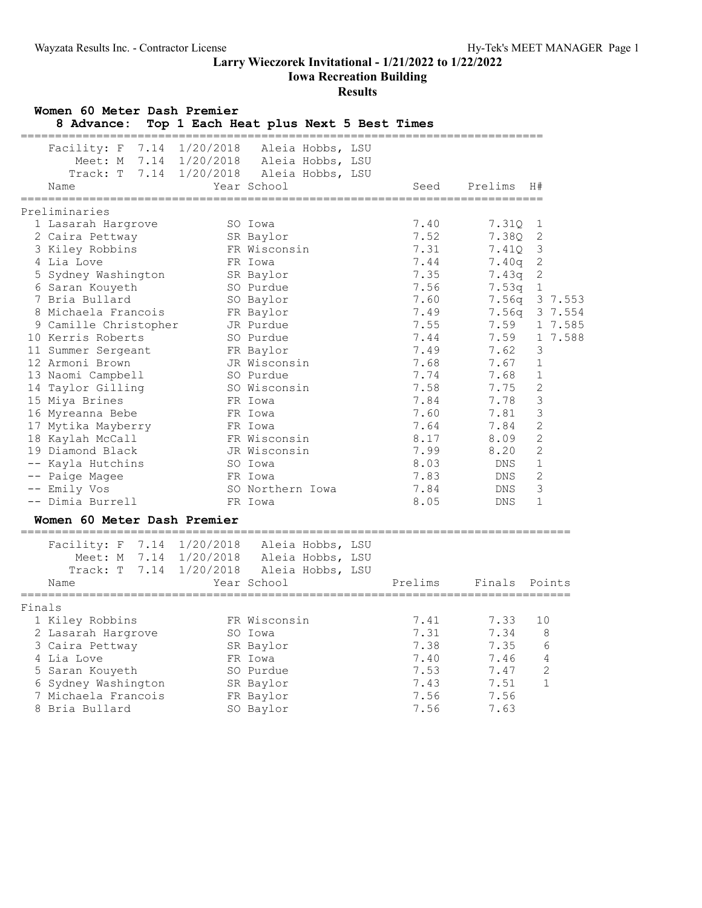**Iowa Recreation Building**

| Women 60 Meter Dash Premier<br>8 Advance:                                                                                                                                                                                                                                                                                                                                                                                                                                 | Top 1 Each Heat plus Next 5 Best Times                                                                                                                                                                                                                                                                        |                                                                                                                                                                                      |                                                                                                                                                                            |                                                                                                                                                                                                                                                                       |
|---------------------------------------------------------------------------------------------------------------------------------------------------------------------------------------------------------------------------------------------------------------------------------------------------------------------------------------------------------------------------------------------------------------------------------------------------------------------------|---------------------------------------------------------------------------------------------------------------------------------------------------------------------------------------------------------------------------------------------------------------------------------------------------------------|--------------------------------------------------------------------------------------------------------------------------------------------------------------------------------------|----------------------------------------------------------------------------------------------------------------------------------------------------------------------------|-----------------------------------------------------------------------------------------------------------------------------------------------------------------------------------------------------------------------------------------------------------------------|
| ==================================<br>Facility: F<br>Name                                                                                                                                                                                                                                                                                                                                                                                                                 | 7.14 1/20/2018 Aleia Hobbs, LSU<br>Meet: M 7.14 1/20/2018 Aleia Hobbs, LSU<br>Track: T 7.14 1/20/2018 Aleia Hobbs, LSU<br>Year School                                                                                                                                                                         | Seed                                                                                                                                                                                 | Prelims                                                                                                                                                                    | H#                                                                                                                                                                                                                                                                    |
| Preliminaries                                                                                                                                                                                                                                                                                                                                                                                                                                                             |                                                                                                                                                                                                                                                                                                               |                                                                                                                                                                                      |                                                                                                                                                                            |                                                                                                                                                                                                                                                                       |
| 1 Lasarah Hargrove<br>2 Caira Pettway<br>3 Kiley Robbins<br>4 Lia Love<br>5 Sydney Washington<br>6 Saran Kouyeth<br>7 Bria Bullard<br>8 Michaela Francois<br>9 Camille Christopher<br>10 Kerris Roberts<br>11 Summer Sergeant<br>12 Armoni Brown<br>13 Naomi Campbell<br>14 Taylor Gilling<br>15 Miya Brines<br>16 Myreanna Bebe<br>17 Mytika Mayberry<br>18 Kaylah McCall<br>19 Diamond Black<br>-- Kayla Hutchins<br>-- Paige Magee<br>-- Emily Vos<br>-- Dimia Burrell | SO Iowa<br>SR Baylor<br>FR Wisconsin<br>FR Iowa<br>SR Baylor<br>SO Purdue<br>SO Baylor<br>FR Baylor<br>JR Purdue<br>SO Purdue<br>FR Baylor<br>JR Wisconsin<br>SO Purdue<br>SO Wisconsin<br>FR Iowa<br>FR Iowa<br>FR Iowa<br>FR Wisconsin<br>JR Wisconsin<br>SO Iowa<br>FR Iowa<br>SO Northern Iowa<br>FR Iowa | 7.40<br>7.52<br>7.31<br>7.44<br>7.35<br>7.56<br>7.60<br>7.49<br>7.55<br>7.44<br>7.49<br>7.68<br>7.74<br>7.58<br>7.84<br>7.60<br>7.64<br>8.17<br>7.99<br>8.03<br>7.83<br>7.84<br>8.05 | 7.310<br>7.38Q<br>7.41Q<br>7.40q<br>7.43q 2<br>7.53q 1<br>7.59<br>7.59<br>7.62<br>7.67<br>7.68<br>7.75<br>7.78<br>7.81<br>7.84<br>8.09<br>8.20<br>DNS<br>DNS<br>DNS<br>DNS | 1<br>2<br>$\mathcal{E}$<br>$\overline{\phantom{0}}^2$<br>7.56q 3 7.553<br>7.56q 3 7.554<br>1 7.585<br>1 7.588<br>3<br>$\mathbf{1}$<br>1<br>$\sqrt{2}$<br>$\mathfrak{Z}$<br>$\mathsf 3$<br>$\sqrt{2}$<br>$\mathbf{2}$<br>2<br>$\mathbf{1}$<br>$\overline{c}$<br>3<br>1 |
| Women 60 Meter Dash Premier                                                                                                                                                                                                                                                                                                                                                                                                                                               |                                                                                                                                                                                                                                                                                                               |                                                                                                                                                                                      |                                                                                                                                                                            |                                                                                                                                                                                                                                                                       |
| ====================================<br>Facility: F 7.14 1/20/2018 Aleia Hobbs, LSU<br>Name                                                                                                                                                                                                                                                                                                                                                                               | Meet: M 7.14 1/20/2018 Aleia Hobbs, LSU<br>Track: T 7.14 1/20/2018 Aleia Hobbs, LSU<br>Year School                                                                                                                                                                                                            | Prelims                                                                                                                                                                              | Finals                                                                                                                                                                     | Points                                                                                                                                                                                                                                                                |
| Finals<br>1 Kiley Robbins<br>2 Lasarah Hargrove<br>3 Caira Pettway<br>4 Lia Love<br>5 Saran Kouyeth<br>6 Sydney Washington<br>7 Michaela Francois<br>8 Bria Bullard                                                                                                                                                                                                                                                                                                       | FR Wisconsin<br>SO Iowa<br>SR Baylor<br>FR Iowa<br>SO Purdue<br>SR Baylor<br>FR Baylor<br>SO Baylor                                                                                                                                                                                                           | 7.41<br>7.31<br>7.38<br>7.40<br>7.53<br>7.43<br>7.56<br>7.56                                                                                                                         | 7.33<br>7.34<br>7.35<br>7.46<br>7.47<br>7.51<br>7.56<br>7.63                                                                                                               | 10<br>8<br>6<br>4<br>2<br>$\mathbf 1$                                                                                                                                                                                                                                 |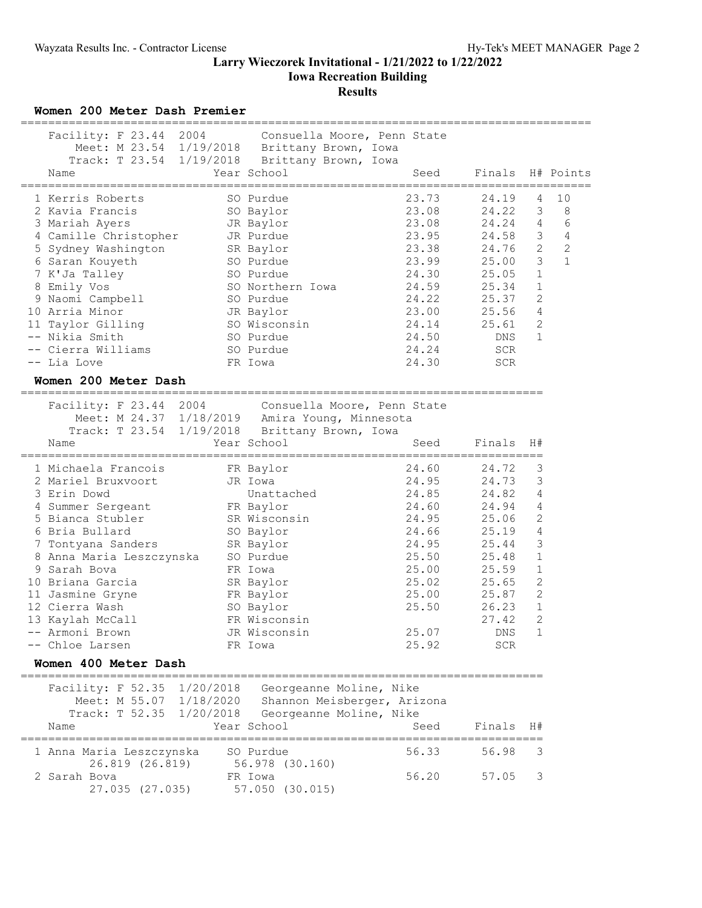## **Larry Wieczorek Invitational - 1/21/2022 to 1/22/2022 Iowa Recreation Building**

# **Results**

**Women 200 Meter Dash Premier**

| Facility: F 23.44 2004 |           | Consuella Moore, Penn State                    |       |                  |                |                |
|------------------------|-----------|------------------------------------------------|-------|------------------|----------------|----------------|
|                        |           | Meet: M 23.54 1/19/2018 Brittany Brown, Iowa   |       |                  |                |                |
|                        |           | Track: T 23.54 1/19/2018 Brittany Brown, Iowa  |       |                  |                |                |
| Name                   |           | Year School                                    | Seed  | Finals H# Points |                |                |
| 1 Kerris Roberts       |           | SO Purdue                                      | 23.73 | 24.19            | 4              | 10             |
| 2 Kavia Francis        |           | SO Baylor                                      | 23.08 | 24.22            | 3              | 8              |
| 3 Mariah Ayers         |           | JR Baylor                                      | 23.08 | 24.24            | 4              | $\sqrt{6}$     |
| 4 Camille Christopher  |           | JR Purdue                                      | 23.95 | 24.58            | $\mathsf 3$    | $\overline{4}$ |
| 5 Sydney Washington    | SR Baylor |                                                | 23.38 | 24.76            | $\sqrt{2}$     | $\overline{c}$ |
| 6 Saran Kouyeth        |           | SO Purdue                                      | 23.99 | 25.00            | $\mathfrak{Z}$ | $\mathbf{1}$   |
| 7 K'Ja Talley          |           | SO Purdue                                      | 24.30 | 25.05            | $\mathbf{1}$   |                |
| 8 Emily Vos            |           | SO Northern Iowa                               | 24.59 | 25.34            | 1              |                |
| 9 Naomi Campbell       |           | SO Purdue                                      | 24.22 | 25.37            | $\overline{2}$ |                |
| 10 Arria Minor         |           | JR Baylor                                      | 23.00 | 25.56            | $\overline{4}$ |                |
| 11 Taylor Gilling      |           | SO Wisconsin                                   | 24.14 | 25.61            | $\overline{c}$ |                |
| -- Nikia Smith         |           | SO Purdue                                      | 24.50 | DNS              | $\mathbf{1}$   |                |
| -- Cierra Williams     |           | SO Purdue                                      | 24.24 | <b>SCR</b>       |                |                |
| -- Lia Love            |           | FR Iowa                                        | 24.30 | <b>SCR</b>       |                |                |
| Women 200 Meter Dash   |           |                                                |       |                  |                |                |
| Facility: F 23.44 2004 |           | Consuella Moore, Penn State                    |       |                  |                |                |
|                        |           | Meet: M 24.37 1/18/2019 Amira Young, Minnesota |       |                  |                |                |
|                        |           | Track: T 23.54 1/19/2018 Brittany Brown, Iowa  |       |                  |                |                |
| Name                   |           | Year School                                    | Seed  | Finals           | H#             |                |
| 1 Michaela Francois    |           | FR Baylor                                      | 24.60 | 24.72            | 3              |                |
| 2 Mariel Bruxvoort     |           | JR Iowa                                        | 24.95 | 24.73            | 3              |                |

| 3 Erin Dowd              | Unattached   | 24.85 | 24.82      | $\overline{4}$ |
|--------------------------|--------------|-------|------------|----------------|
| 4 Summer Sergeant        | FR Baylor    | 24.60 | 24.94      | $\overline{4}$ |
| 5 Bianca Stubler         | SR Wisconsin | 24.95 | 25.06      | $\overline{2}$ |
| 6 Bria Bullard           | SO Baylor    | 24.66 | 25.19      | 4              |
| 7 Tontyana Sanders       | SR Baylor    | 24.95 | 25.44      | 3              |
| 8 Anna Maria Leszczynska | SO Purdue    | 25.50 | 25.48      | $\mathbf 1$    |
| 9 Sarah Bova             | FR Iowa      | 25.00 | 25.59      | 1              |
| 10 Briana Garcia         | SR Baylor    | 25.02 | 25.65      | 2              |
| 11 Jasmine Gryne         | FR Baylor    | 25.00 | 25.87      | 2              |
| 12 Cierra Wash           | SO Baylor    | 25.50 | 26.23      | 1              |
| 13 Kaylah McCall         | FR Wisconsin |       | 27.42      | 2              |
| -- Armoni Brown          | JR Wisconsin | 25.07 | DNS        | 1              |
| -- Chloe Larsen          | FR Iowa      | 25.92 | <b>SCR</b> |                |

### **Women 400 Meter Dash**

============================================================================ Facility: F 52.35 1/20/2018 Georgeanne Moline, Nike Meet: M 55.07 1/18/2020 Shannon Meisberger, Arizona

| Name                                        | Track: T 52.35 1/20/2018 Georgeanne Moline, Nike<br>Year School | Seed  | Finals H# |  |
|---------------------------------------------|-----------------------------------------------------------------|-------|-----------|--|
| 1 Anna Maria Leszczynska<br>26.819 (26.819) | SO Purdue<br>56.978 (30.160)                                    | 56.33 | 56.98 3   |  |
| 2 Sarah Bova<br>27.035 (27.035)             | FR Iowa<br>57.050 (30.015)                                      | 56.20 | 57.05 3   |  |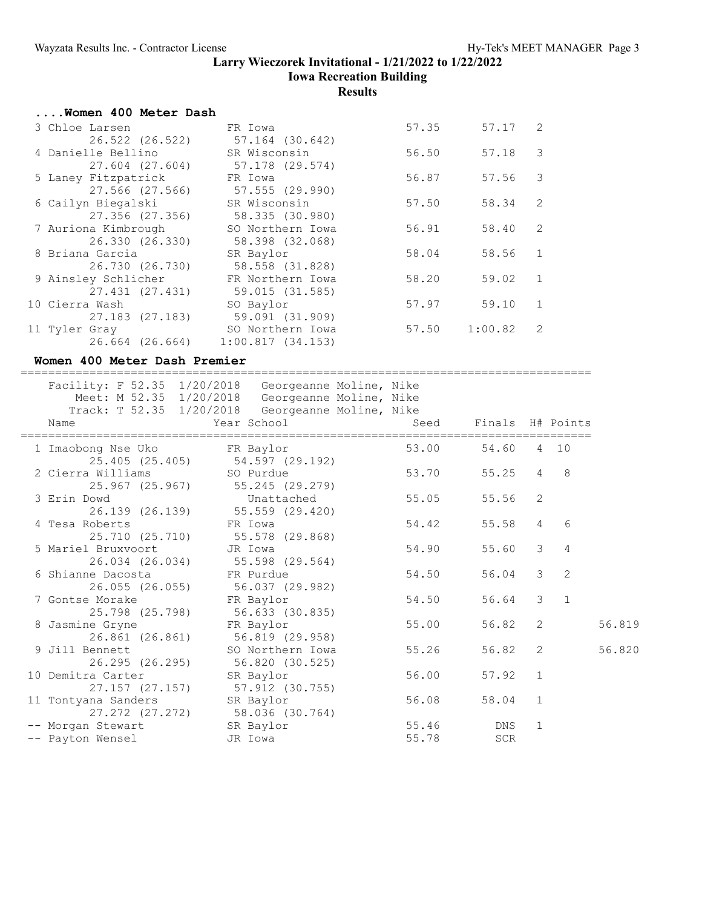## **Larry Wieczorek Invitational - 1/21/2022 to 1/22/2022 Iowa Recreation Building**

## **Results**

| Women 400 Meter Dash            |                  |       |           |                |
|---------------------------------|------------------|-------|-----------|----------------|
| 3 Chloe Larsen                  | FR Iowa          | 57.35 | $57.17$ 2 |                |
| 26.522 (26.522)                 | 57.164 (30.642)  |       |           |                |
| 4 Danielle Bellino SR Wisconsin |                  | 56.50 | 57.18     | 3              |
| 27.604 (27.604) 57.178 (29.574) |                  |       |           |                |
| 5 Laney Fitzpatrick             | FR Iowa          | 56.87 | 57.56     | 3              |
| 27.566 (27.566)                 | 57.555 (29.990)  |       |           |                |
| 6 Cailyn Biegalski              | SR Wisconsin     | 57.50 | 58.34     | 2              |
| 27.356 (27.356)                 | 58.335 (30.980)  |       |           |                |
| 7 Auriona Kimbrough             | SO Northern Iowa | 56.91 | 58.40     | 2              |
| 26.330 (26.330)                 | 58.398 (32.068)  |       |           |                |
| 8 Briana Garcia                 | SR Baylor        | 58.04 | 58.56     | 1              |
| 26.730 (26.730)                 | 58.558 (31.828)  |       |           |                |
| 9 Ainsley Schlicher             | FR Northern Iowa | 58.20 | 59.02     | 1              |
| 27.431 (27.431)                 | 59.015 (31.585)  |       |           |                |
| 10 Cierra Wash                  | SO Baylor        | 57.97 | 59.10     | $\overline{1}$ |
| 27.183 (27.183)                 | 59.091 (31.909)  |       |           |                |
| 11 Tyler Gray                   | SO Northern Iowa | 57.50 | 1:00.82   | -2             |
| 26.664 (26.664)                 | 1:00.817(34.153) |       |           |                |
|                                 |                  |       |           |                |

### **Women 400 Meter Dash Premier**

=================================================================================== Facility: F 52.35 1/20/2018 Georgeanne Moline, Nike

| Name                                     | Facility: F 52.35 1/20/2018 Georgeanne Moline, Nike<br>Meet: M 52.35 1/20/2018 Georgeanne Moline, Nike<br>Track: T 52.35 1/20/2018 Georgeanne Moline, Nike<br>Year School Year |       | Seed Finals H# Points |                |                |        |
|------------------------------------------|--------------------------------------------------------------------------------------------------------------------------------------------------------------------------------|-------|-----------------------|----------------|----------------|--------|
| 1 Imaobong Nse Uko             FR Baylor | 25.405 (25.405) 54.597 (29.192)                                                                                                                                                | 53.00 | 54.60 4 10            |                |                |        |
| 2 Cierra Williams SO Purdue              | 25.967 (25.967) 55.245 (29.279)                                                                                                                                                | 53.70 | 55.25                 |                | $4\quad 8$     |        |
| 3 Erin Dowd                              | Unattached<br>26.139 (26.139) 55.559 (29.420)                                                                                                                                  | 55.05 | 55.56 2               |                |                |        |
| 4 Tesa Roberts                           | FR Iowa<br>25.710 (25.710) 55.578 (29.868)                                                                                                                                     | 54.42 | 55.58                 |                | $4\quad 6$     |        |
| 5 Mariel Bruxvoort JR Iowa               | 26.034 (26.034) 55.598 (29.564)                                                                                                                                                | 54.90 | 55.60                 | 3 <sup>7</sup> | $\overline{4}$ |        |
| 6 Shianne Dacosta <a> FR Purdue</a>      | 26.055 (26.055) 56.037 (29.982)                                                                                                                                                | 54.50 | 56.04 3               |                | 2              |        |
| 7 Gontse Morake                          | FR Baylor<br>25.798 (25.798) 56.633 (30.835)                                                                                                                                   | 54.50 | 56.64 3 1             |                |                |        |
| 8 Jasmine Gryne                          | FR Baylor<br>26.861 (26.861) 56.819 (29.958)                                                                                                                                   | 55.00 | 56.82 2               |                |                | 56.819 |
| 9 Jill Bennett<br>26.295 (26.295)        | SO Northern Iowa<br>56.820 (30.525)                                                                                                                                            | 55.26 | 56.82                 | 2              |                | 56.820 |
| 10 Demitra Carter                        | SR Baylor<br>27.157 (27.157) 57.912 (30.755)                                                                                                                                   | 56.00 | 57.92                 | 1              |                |        |
| 11 Tontyana Sanders SR Baylor            | 27.272 (27.272) 58.036 (30.764)                                                                                                                                                | 56.08 | 58.04 1               |                |                |        |
| -- Morgan Stewart SR Baylor              |                                                                                                                                                                                | 55.46 | DNS                   | 1              |                |        |
| -- Payton Wensel                         | JR Iowa                                                                                                                                                                        | 55.78 | SCR                   |                |                |        |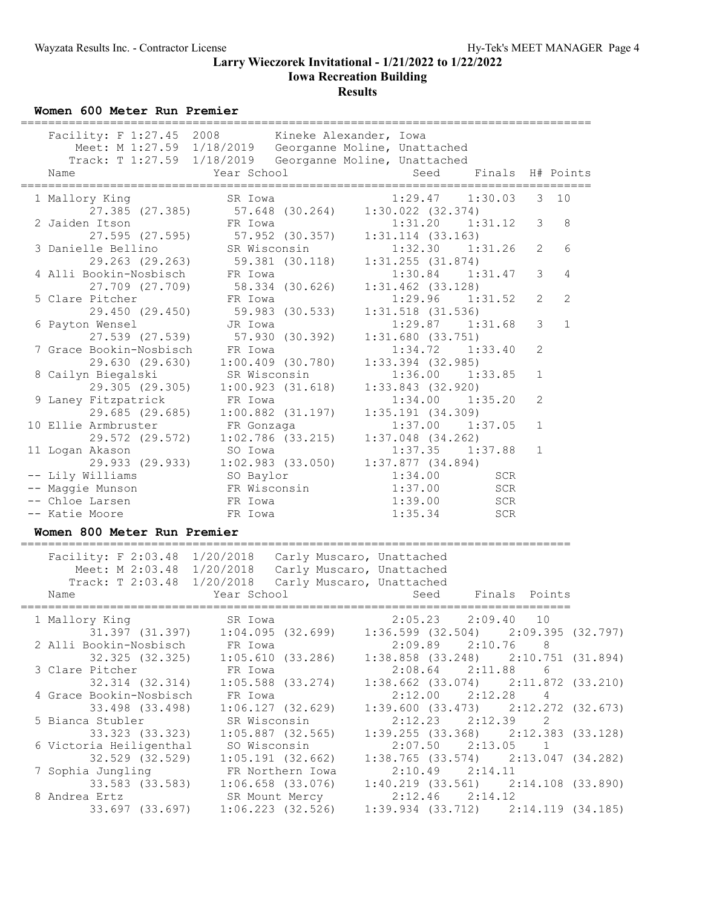### **Larry Wieczorek Invitational - 1/21/2022 to 1/22/2022 Iowa Recreation Building Results**

**Women 600 Meter Run Premier**

| Facility: F 1:27.45 2008 Kineke Alexander, Iowa                    |                     |                     |                       |                     |                |                |
|--------------------------------------------------------------------|---------------------|---------------------|-----------------------|---------------------|----------------|----------------|
| Meet: M 1:27.59 1/18/2019 Georganne Moline, Unattached             |                     |                     |                       |                     |                |                |
| Track: T 1:27.59 1/18/2019 Georganne Moline, Unattached            |                     |                     |                       |                     |                |                |
| Name                                                               | Year School         |                     | Seed                  | Finals H# Points    |                |                |
| 1 Mallory King                                                     | SR Iowa             |                     |                       | $1:29.47$ $1:30.03$ |                | $3 \quad 10$   |
| 27.385 (27.385) 57.648 (30.264) 1:30.022 (32.374)                  |                     |                     |                       |                     |                |                |
| 2 Jaiden Itson                                                     | ER Iowa             |                     |                       | $1:31.20$ $1:31.12$ | 3              | 8              |
|                                                                    |                     |                     | $1:31.114$ $(33.163)$ |                     |                |                |
| 27.595 (27.595) 57.952 (30.357)<br>3 Danielle Bellino SR Wisconsin |                     |                     |                       | 1:32.30 1:31.26     | $\overline{2}$ | 6              |
| 29.263 (29.263) 59.381 (30.118)                                    |                     |                     | $1:31.255$ $(31.874)$ |                     |                |                |
| 4 Alli Bookin-Nosbisch FR Iowa                                     |                     |                     |                       | $1:30.84$ $1:31.47$ | 3              | $\overline{4}$ |
| 27.709 (27.709) 58.334 (30.626)                                    |                     |                     | $1:31.462$ $(33.128)$ |                     |                |                |
| 5 Clare Pitcher                                                    | FR Iowa             |                     |                       | $1:29.96$ $1:31.52$ | $\overline{2}$ | $\overline{2}$ |
| 29.450 (29.450) 59.983 (30.533)                                    |                     |                     | $1:31.518$ (31.536)   |                     |                |                |
| 6 Payton Wensel                                                    | JR Iowa             |                     |                       | $1:29.87$ $1:31.68$ | 3              | $\mathbf{1}$   |
| 27.539 (27.539) 57.930 (30.392)                                    |                     |                     | 1:31.680(33.751)      |                     |                |                |
| 7 Grace Bookin-Nosbisch                                            | FR Iowa             |                     |                       | $1:34.72$ $1:33.40$ | $\overline{2}$ |                |
| 29.630 (29.630)                                                    | $1:00.409$ (30.780) |                     | $1:33.394$ (32.985)   |                     |                |                |
| 8 Cailyn Biegalski                                                 | SR Wisconsin        |                     |                       | $1:36.00$ $1:33.85$ | $\mathbf 1$    |                |
| 29.305 (29.305) 1:00.923 (31.618)                                  |                     |                     | $1:33.843$ $(32.920)$ |                     |                |                |
| 9 Laney Fitzpatrick                                                | FR Iowa             |                     |                       | $1:34.00$ $1:35.20$ | $\overline{2}$ |                |
| 29.685 (29.685) 1:00.882 (31.197)                                  |                     |                     | 1:35.191(34.309)      |                     |                |                |
| 10 Ellie Armbruster                                                | FR Gonzaga          |                     |                       | $1:37.00$ $1:37.05$ | $\mathbf{1}$   |                |
| 29.572 (29.572)                                                    |                     | 1:02.786 (33.215)   | $1:37.048$ $(34.262)$ |                     |                |                |
| 11 Logan Akason                                                    | SO Iowa             |                     |                       | $1:37.35$ $1:37.88$ | $\mathbf{1}$   |                |
| 29.933 (29.933)                                                    |                     | $1:02.983$ (33.050) | $1:37.877$ (34.894)   |                     |                |                |
| -- Lily Williams                                                   | SO Baylor           |                     | 1:34.00               | <b>SCR</b>          |                |                |
| -- Maggie Munson                                                   | FR Wisconsin        |                     | 1:37.00               | <b>SCR</b>          |                |                |
| -- Chloe Larsen                                                    | FR Iowa             |                     | 1:39.00               | SCR                 |                |                |
| -- Katie Moore                                                     | FR Iowa             |                     | 1:35.34               | <b>SCR</b>          |                |                |
|                                                                    |                     |                     |                       |                     |                |                |

### **Women 800 Meter Run Premier**

| Facility: F 2:03.48 1/20/2018   | Carly Muscaro, Unattached<br>Meet: M 2:03.48 1/20/2018 Carly Muscaro, Unattached                                   |                     |                                                                  |  |
|---------------------------------|--------------------------------------------------------------------------------------------------------------------|---------------------|------------------------------------------------------------------|--|
| Name                            | Track: T 2:03.48 1/20/2018 Carly Muscaro, Unattached<br><b>Example 2</b> Year School Controller Seed Finals Points |                     |                                                                  |  |
|                                 | 1 Mallory King               SR Iowa                 2:05.23     2:09.40     10                                    |                     |                                                                  |  |
|                                 | 31.397 (31.397) 1:04.095 (32.699) 1:36.599 (32.504) 2:09.395 (32.797)<br>2 Alli Bookin-Nosbisch Br Iowa            |                     | $2:09.89$ $2:10.76$ 8                                            |  |
|                                 |                                                                                                                    |                     | $1:38.858$ (33.248) $2:10.751$ (31.894)                          |  |
|                                 | 3 Clare Pitcher FR Iowa<br>32.314 (32.314) 1:05.588 (33.274)                                                       |                     | $2:08.64$ $2:11.88$ 6<br>$1:38.662$ (33.074) $2:11.872$ (33.210) |  |
| 4 Grace Bookin-Nosbisch FR Iowa |                                                                                                                    |                     | $2:12.00$ $2:12.28$ 4                                            |  |
|                                 | 5 Bianca Stubler SR Wisconsin                                                                                      |                     | 1:39.600(33.473)2:12.272(32.673)<br>$2:12.23$ $2:12.39$ 2        |  |
|                                 | 33.323 (33.323) 1:05.887 (32.565)                                                                                  |                     | $1:39.255$ (33.368) $2:12.383$ (33.128)                          |  |
| 6 Victoria Heiligenthal         | SO Wisconsin                                                                                                       |                     | $2:07.50$ $2:13.05$ 1                                            |  |
|                                 | 7 Sophia Jungling TR Northern Iowa                                                                                 | $2:10.49$ $2:14.11$ | $1:38.765$ (33.574) 2:13.047 (34.282)                            |  |
|                                 |                                                                                                                    |                     | $1:40.219$ (33.561) $2:14.108$ (33.890)                          |  |
| 8 Andrea Ertz                   | SR Mount Mercy<br>33.697 (33.697) 1:06.223 (32.526)                                                                | $2:12.46$ $2:14.12$ | $1:39.934$ (33.712) $2:14.119$ (34.185)                          |  |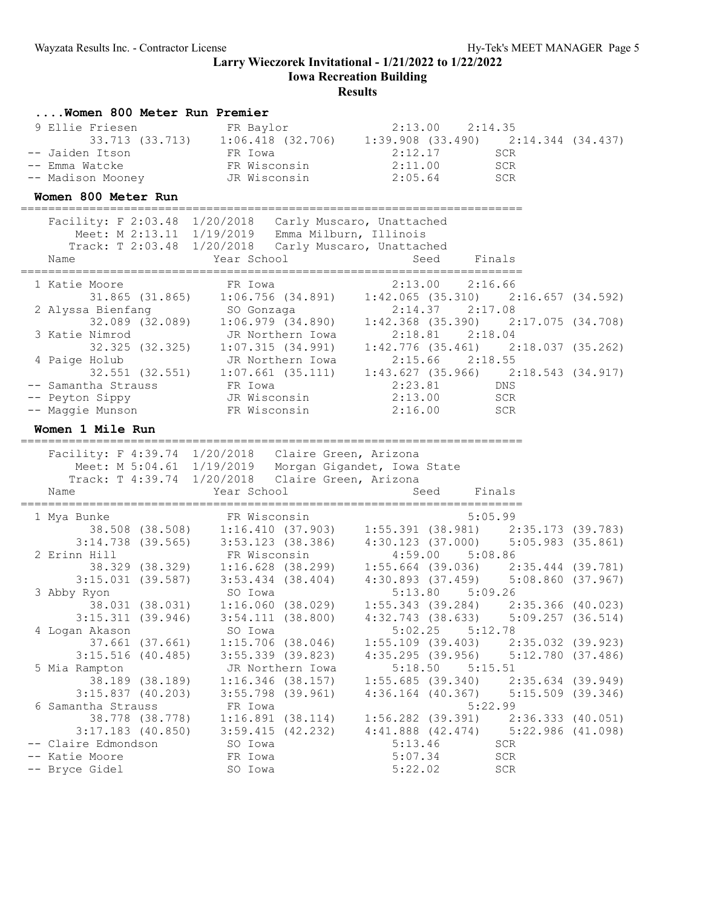**Iowa Recreation Building**

| Women 800 Meter Run Premier                                                    |                                                                                                                                                                                                                                                                                                                           |                                  |                                         |  |
|--------------------------------------------------------------------------------|---------------------------------------------------------------------------------------------------------------------------------------------------------------------------------------------------------------------------------------------------------------------------------------------------------------------------|----------------------------------|-----------------------------------------|--|
| 9 Ellie Friesen                                                                | Friesen<br>TR Baylor<br>33.713 (33.713) 1:06.418 (32.706) 1:39.908 (33.490) 2:14.344 (34.437)                                                                                                                                                                                                                             |                                  |                                         |  |
|                                                                                |                                                                                                                                                                                                                                                                                                                           |                                  |                                         |  |
| -- Jaiden Itson                                                                | n FR Iowa<br>FR Wisconsin                                                                                                                                                                                                                                                                                                 | 2:12.17                          | <b>SCR</b>                              |  |
| -- Emma Watcke                                                                 |                                                                                                                                                                                                                                                                                                                           | $2:11.00$ SCR                    |                                         |  |
| -- Madison Mooney Manus JR Wisconsin                                           |                                                                                                                                                                                                                                                                                                                           | 2:05.64                          | SCR                                     |  |
| Women 800 Meter Run                                                            |                                                                                                                                                                                                                                                                                                                           |                                  |                                         |  |
| Facility: F 2:03.48 1/20/2018 Carly Muscaro, Unattached                        |                                                                                                                                                                                                                                                                                                                           |                                  |                                         |  |
|                                                                                | Meet: M 2:13.11 1/19/2019 Emma Milburn, Illinois                                                                                                                                                                                                                                                                          |                                  |                                         |  |
|                                                                                | Track: T 2:03.48 1/20/2018 Carly Muscaro, Unattached                                                                                                                                                                                                                                                                      |                                  |                                         |  |
|                                                                                |                                                                                                                                                                                                                                                                                                                           |                                  |                                         |  |
| 1 Katie Moore                                                                  |                                                                                                                                                                                                                                                                                                                           |                                  |                                         |  |
|                                                                                | Moore FR Iowa 2:13.00 2:16.66<br>31.865 (31.865) 1:06.756 (34.891) 1:42.065 (35.310) 2:16.657 (34.592)                                                                                                                                                                                                                    |                                  |                                         |  |
|                                                                                |                                                                                                                                                                                                                                                                                                                           |                                  | $2:14.37$ $2:17.08$                     |  |
| 2 Alyssa Bienfang<br>32.089 (32.089) 1:06.979 (34.890) 1:4                     |                                                                                                                                                                                                                                                                                                                           |                                  | $1:42.368$ (35.390) $2:17.075$ (34.708) |  |
| 3 Katie Nimrod                                                                 |                                                                                                                                                                                                                                                                                                                           |                                  |                                         |  |
|                                                                                |                                                                                                                                                                                                                                                                                                                           |                                  |                                         |  |
| 4 Paige Holub                                                                  |                                                                                                                                                                                                                                                                                                                           |                                  |                                         |  |
|                                                                                |                                                                                                                                                                                                                                                                                                                           |                                  |                                         |  |
|                                                                                |                                                                                                                                                                                                                                                                                                                           |                                  |                                         |  |
| -- Samantha Strauss<br>-- Peyton Sippy BR Iowa<br>-- Peyton Sippy JR Wisconsin | 32.089 (32.089) 1:06.979 (33.000)<br>Nimrod JR Northern Iowa 2:18.81 2:18.04<br>32.325 (32.325) 1:07.315 (34.991) 1:42.776 (35.461) 2:18.037 (35.262)<br>Holub JR Northern Iowa 2:15.66 2:18.55<br>32.551 (32.551) 1:07.661 (35.111) 1                                                                                    | $2:13.00$ SCR                    |                                         |  |
| -- Maggie Munson FR Wisconsin                                                  |                                                                                                                                                                                                                                                                                                                           |                                  | 2:16.00 SCR                             |  |
| Women 1 Mile Run                                                               |                                                                                                                                                                                                                                                                                                                           |                                  |                                         |  |
|                                                                                |                                                                                                                                                                                                                                                                                                                           |                                  |                                         |  |
|                                                                                |                                                                                                                                                                                                                                                                                                                           |                                  |                                         |  |
| Facility: F 4:39.74 1/20/2018 Claire Green, Arizona                            |                                                                                                                                                                                                                                                                                                                           |                                  |                                         |  |
|                                                                                | Meet: M 5:04.61 1/19/2019 Morgan Gigandet, Iowa State                                                                                                                                                                                                                                                                     |                                  |                                         |  |
|                                                                                | Track: T 4:39.74 1/20/2018 Claire Green, Arizona                                                                                                                                                                                                                                                                          |                                  |                                         |  |
| Name                                                                           | Year School                                                                                                                                                                                                                                                                                                               | Seed                             | Finals                                  |  |
|                                                                                |                                                                                                                                                                                                                                                                                                                           |                                  |                                         |  |
| 1 Mya Bunke                                                                    |                                                                                                                                                                                                                                                                                                                           |                                  |                                         |  |
|                                                                                |                                                                                                                                                                                                                                                                                                                           |                                  |                                         |  |
| 2 Erinn Hill                                                                   |                                                                                                                                                                                                                                                                                                                           |                                  |                                         |  |
|                                                                                |                                                                                                                                                                                                                                                                                                                           |                                  |                                         |  |
|                                                                                |                                                                                                                                                                                                                                                                                                                           |                                  |                                         |  |
| 3 Abby Ryon                                                                    |                                                                                                                                                                                                                                                                                                                           |                                  |                                         |  |
|                                                                                | 3:14.738 (39.565) 3:53.123 (38.386) 4:30.123 (37.000) 5:05.983 (35.861)<br>1.1 FR Wisconsin 4:59.00 5:05.983 (35.861)<br>38.329 (38.329) 1:16.628 (38.299) 1:55.664 (39.036) 2:35.444 (39.781)<br>3:15.031 (39.587) 3:53.434 (38.404<br>$\frac{1}{38.031}$ (38.031) 1:16.060 (38.029) 1:55.343 (39.284) 2:35.366 (40.023) |                                  |                                         |  |
|                                                                                | $3:15.311$ (39.946) $3:54.111$ (38.800)                                                                                                                                                                                                                                                                                   |                                  | $4:32.743$ (38.633) $5:09.257$ (36.514) |  |
| 4 Logan Akason                                                                 | SO Iowa                                                                                                                                                                                                                                                                                                                   |                                  | $5:02.25$ $5:12.78$                     |  |
| 37.661 (37.661)                                                                | $1:15.706$ (38.046)                                                                                                                                                                                                                                                                                                       |                                  | $1:55.109$ (39.403) $2:35.032$ (39.923) |  |
| $3:15.516$ (40.485)                                                            | $3:55.339$ $(39.823)$                                                                                                                                                                                                                                                                                                     |                                  | $4:35.295$ (39.956) $5:12.780$ (37.486) |  |
| 5 Mia Rampton                                                                  | JR Northern Iowa                                                                                                                                                                                                                                                                                                          | 5:18.50                          | 5:15.51                                 |  |
| 38.189 (38.189)                                                                | $1:16.346$ (38.157)                                                                                                                                                                                                                                                                                                       |                                  | $1:55.685$ (39.340) $2:35.634$ (39.949) |  |
| $3:15.837$ (40.203)                                                            | $3:55.798$ (39.961)                                                                                                                                                                                                                                                                                                       |                                  | $4:36.164$ (40.367) $5:15.509$ (39.346) |  |
| 6 Samantha Strauss                                                             | FR Iowa                                                                                                                                                                                                                                                                                                                   |                                  | 5:22.99                                 |  |
| 38.778 (38.778)                                                                | 1:16.891(38.114)                                                                                                                                                                                                                                                                                                          | $1:56.282$ (39.391)              | 2:36.333(40.051)                        |  |
| $3:17.183$ (40.850)<br>-- Claire Edmondson                                     | $3:59.415$ (42.232)<br>SO Iowa                                                                                                                                                                                                                                                                                            | $4:41.888$ $(42.474)$<br>5:13.46 | $5:22.986$ $(41.098)$<br>SCR            |  |
| -- Katie Moore                                                                 | FR Iowa                                                                                                                                                                                                                                                                                                                   | 5:07.34                          | SCR                                     |  |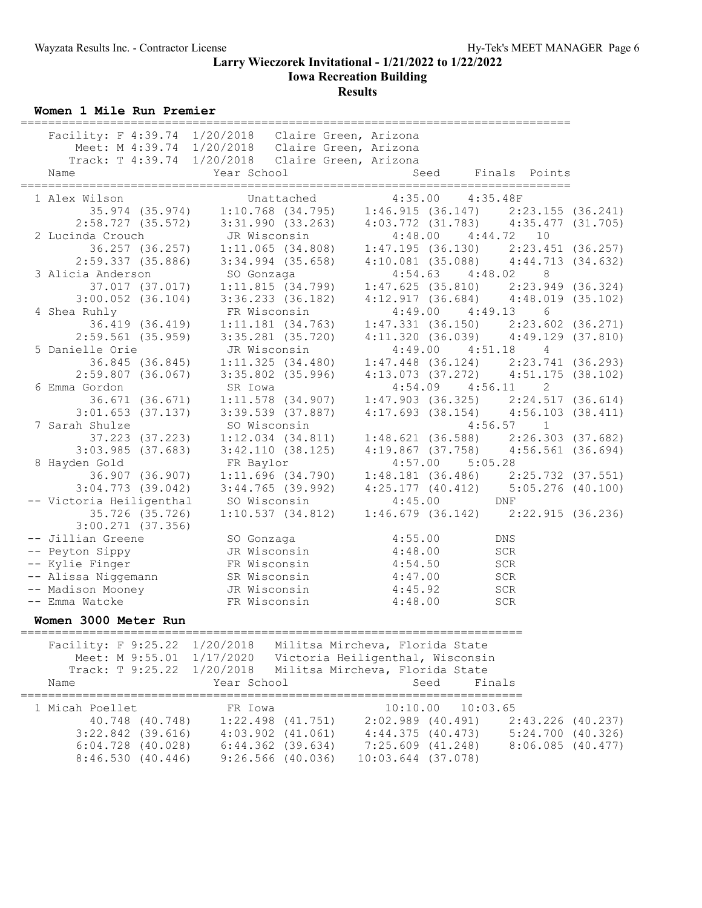## **Larry Wieczorek Invitational - 1/21/2022 to 1/22/2022 Iowa Recreation Building Results**

**Women 1 Mile Run Premier**

|                               |                                                                                   | ===============================             |                       |  |
|-------------------------------|-----------------------------------------------------------------------------------|---------------------------------------------|-----------------------|--|
|                               | Facility: F 4:39.74 1/20/2018 Claire Green, Arizona                               |                                             |                       |  |
|                               | Meet: M 4:39.74 1/20/2018 Claire Green, Arizona                                   |                                             |                       |  |
|                               | Track: T 4:39.74 1/20/2018 Claire Green, Arizona                                  |                                             |                       |  |
| Name                          | Year School                                                                       | Seed                                        | Finals Points         |  |
|                               |                                                                                   |                                             |                       |  |
| 1 Alex Wilson                 | Unattached                                                                        | 4:35.00  4:35.48F                           |                       |  |
|                               | $35.974$ (35.974) 1:10.768 (34.795) 1:46.915 (36.147) 2:23.155 (36.241)           |                                             |                       |  |
|                               | $2:58.727$ (35.572) 3:31.990 (33.263) 4:03.772 (31.783) 4:35.477 (31.705)         |                                             |                       |  |
| 2 Lucinda Crouch              | JR Wisconsin                                                                      | $4:48.00$ $4:44.72$ 10                      |                       |  |
|                               | 36.257 (36.257) 1:11.065 (34.808) 1:47.195 (36.130) 2:23.451 (36.257)             |                                             |                       |  |
| 2:59.337(35.886)              | $3:34.994$ (35.658) $4:10.081$ (35.088) $4:44.713$ (34.632)                       |                                             |                       |  |
| 3 Alicia Anderson             |                                                                                   | $4:54.63$ $4:48.02$                         |                       |  |
|                               |                                                                                   |                                             |                       |  |
|                               |                                                                                   | $4:12.917(36.684)$ $4:48.019(35.102)$       |                       |  |
| $3:00.052$ $(36.104)$         | 3:36.233 (36.182)                                                                 |                                             |                       |  |
| 4 Shea Ruhly                  | FR Wisconsin                                                                      | $4:49.00$ $4:49.13$                         | 6                     |  |
|                               | 36.419 (36.419) 1:11.181 (34.763)                                                 | $1:47.331$ (36.150) $2:23.602$ (36.271)     |                       |  |
|                               | $2:59.561$ (35.959) 3:35.281 (35.720)                                             | $4:11.320$ (36.039) $4:49.129$ (37.810)     |                       |  |
| 5 Danielle Orie               | JR Wisconsin                                                                      | $4:49.00$ $4:51.18$ 4                       |                       |  |
|                               | $36.845$ (36.845) $1:11.325$ (34.480)                                             | $1:47.448$ (36.124) $2:23.741$ (36.293)     |                       |  |
| $2:59.807$ (36.067)           | 3:35.802 (35.996)                                                                 | $4:13.073$ $(37.272)$ $4:51.175$ $(38.102)$ |                       |  |
| 6 Emma Gordon                 | SR Iowa                                                                           | $4:54.09$ $4:56.11$                         | 2                     |  |
| 36.671 (36.671)               | $1:11.578$ $(34.907)$                                                             | $1:47.903$ (36.325) $2:24.517$ (36.614)     |                       |  |
| $3:01.653$ (37.137)           | 3:39.539 (37.887)                                                                 | $4:17.693$ (38.154) $4:56.103$ (38.411)     |                       |  |
| 7 Sarah Shulze                | SO Wisconsin                                                                      |                                             | $4:56.57$ 1           |  |
|                               | 37.223 (37.223) 1:12.034 (34.811)                                                 | $1:48.621$ (36.588) $2:26.303$ (37.682)     |                       |  |
| $3:03.985$ $(37.683)$         | 3:42.110(38.125)                                                                  | $4:19.867$ (37.758) $4:56.561$ (36.694)     |                       |  |
| 8 Hayden Gold                 | FR Baylor                                                                         | $4:57.00$ $5:05.28$                         |                       |  |
| 36.907 (36.907)               | 1:11.696(34.790)                                                                  | $1:48.181$ (36.486) $2:25.732$ (37.551)     |                       |  |
| $3:04.773$ (39.042)           | $3:44.765$ (39.992)                                                               | $4:25.177$ (40.412) $5:05.276$ (40.100)     |                       |  |
| -- Victoria Heiligenthal      | SO Wisconsin                                                                      |                                             |                       |  |
| 35.726 (35.726)               | SO Wisconsin 4:45.00 DNF<br>1:10.537 (34.812) 1:46.679 (36.142) 2:22.915 (36.236) |                                             |                       |  |
| $3:00.271$ $(37.356)$         |                                                                                   |                                             |                       |  |
| -- Jillian Greene             | SO Gonzaga                                                                        | 4:55.00                                     | DNS                   |  |
| -- Peyton Sippy               | JR Wisconsin 4:48.00                                                              |                                             | <b>SCR</b>            |  |
| -- Kylie Finger               | FR Wisconsin                                                                      | 4:54.50                                     | SCR                   |  |
| -- Alissa Niggemann           |                                                                                   | 4:47.00                                     | SCR                   |  |
| -- Madison Mooney             | SR Wisconsin<br>JR Wisconsin                                                      | 4:45.92                                     | <b>SCR</b>            |  |
| -- Emma Watcke                | FR Wisconsin                                                                      | 4:48.00                                     | SCR                   |  |
|                               |                                                                                   |                                             |                       |  |
| Women 3000 Meter Run          |                                                                                   |                                             |                       |  |
| Facility: F 9:25.22 1/20/2018 |                                                                                   | Militsa Mircheva, Florida State             |                       |  |
| Meet: M 9:55.01 1/17/2020     |                                                                                   | Victoria Heiligenthal, Wisconsin            |                       |  |
| Track: T 9:25.22              | 1/20/2018                                                                         | Militsa Mircheva, Florida State             |                       |  |
|                               | Year School                                                                       | Seed                                        | Finals                |  |
| Name                          |                                                                                   |                                             | $=$ $=$ $=$ $=$       |  |
| 1 Micah Poellet               | FR Iowa                                                                           | 10:10.00                                    | 10:03.65              |  |
| 40.748 (40.748)               | $1:22.498$ $(41.751)$                                                             | $2:02.989$ $(40.491)$                       | $2:43.226$ (40.237)   |  |
| $3:22.842$ (39.616)           | $4:03.902$ $(41.061)$                                                             | 4:44.375(40.473)                            | $5:24.700$ $(40.326)$ |  |
| $6:04.728$ $(40.028)$         | $6:44.362$ $(39.634)$                                                             | $7:25.609$ $(41.248)$                       | $8:06.085$ $(40.477)$ |  |
| 8:46.530(40.446)              | $9:26.566$ (40.036)                                                               | $10:03.644$ (37.078)                        |                       |  |
|                               |                                                                                   |                                             |                       |  |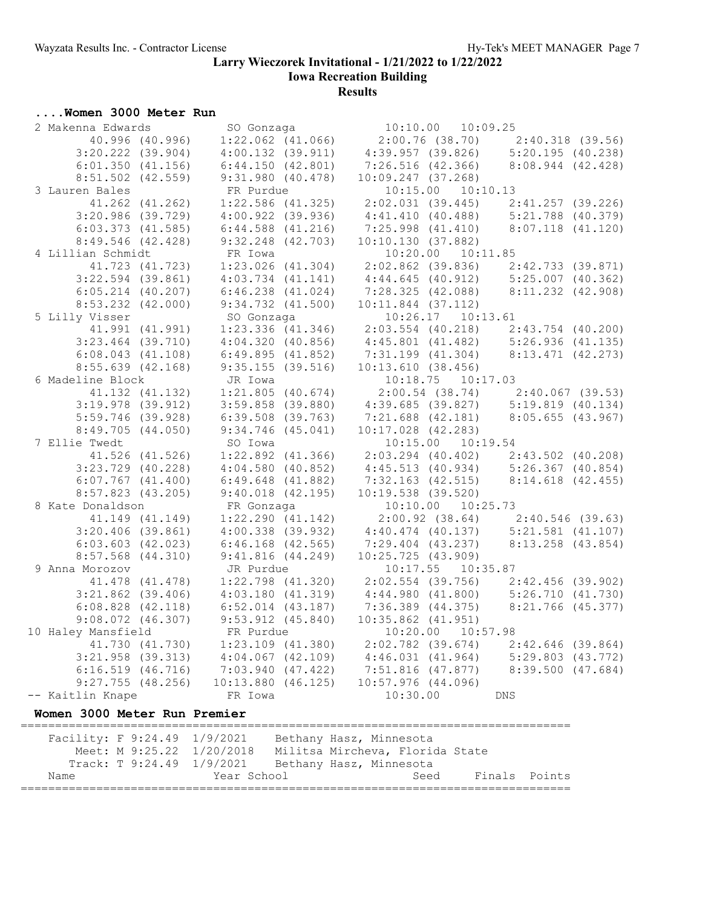**Iowa Recreation Building**

## **Results**

# **....Women 3000 Meter Run**

| 2 Makenna Edwards  |                       | SO Gonzaga                         |                                     | $10:10.00$ $10:09.25$ |                                                                            |  |
|--------------------|-----------------------|------------------------------------|-------------------------------------|-----------------------|----------------------------------------------------------------------------|--|
|                    | 40.996 (40.996)       | $1:22.062$ $(41.066)$              |                                     |                       | $2:00.76$ (38.70) $2:40.318$ (39.56)                                       |  |
|                    | $3:20.222$ $(39.904)$ | $4:00.132$ $(39.911)$              |                                     |                       | $4:39.957$ (39.826) $5:20.195$ (40.238)                                    |  |
|                    | $6:01.350$ $(41.156)$ | 6:44.150(42.801)                   | 7:26.516 (42.366)                   |                       | $8:08.944$ $(42.428)$                                                      |  |
|                    | $8:51.502$ (42.559)   | 9:31.980(40.478)                   | $10:09.247$ (37.268)                |                       |                                                                            |  |
| 3 Lauren Bales     |                       | FR Purdue                          |                                     | 10:15.00  10:10.13    |                                                                            |  |
|                    | 41.262 (41.262)       | $1:22.586$ (41.325)                |                                     |                       | $2:02.031$ (39.445) $2:41.257$ (39.226)                                    |  |
|                    | $3:20.986$ (39.729)   | $4:00.922$ (39.936)                |                                     |                       | $4:41.410$ (40.488) $5:21.788$ (40.379)                                    |  |
|                    | $6:03.373$ $(41.585)$ | $6:44.588$ $(41.216)$              | 7:25.998 (41.410)                   |                       | $8:07.118$ $(41.120)$                                                      |  |
|                    | $8:49.546$ (42.428)   | $9:32.248$ (42.703)                | 10:10.130(37.882)                   |                       |                                                                            |  |
| 4 Lillian Schmidt  |                       | FR Iowa                            |                                     | $10:20.00$ $10:11.85$ |                                                                            |  |
|                    | 41.723 (41.723)       | $1:23.026$ $(41.304)$              | $2:02.862$ (39.836)                 |                       | $2:42.733$ (39.871)                                                        |  |
|                    | $3:22.594$ (39.861)   | $4:03.734$ $(41.141)$              |                                     |                       | 2:02.862 (39.836) 2:42.733 (39.871)<br>4:44.645 (40.912) 5:25.007 (40.362) |  |
|                    | $6:05.214$ $(40.207)$ | $6:46.238$ $(41.024)$              |                                     |                       | 7:28.325 (42.088) 8:11.232 (42.908)                                        |  |
|                    | $8:53.232$ $(42.000)$ | $9:34.732$ $(41.500)$              | $10:11.844$ (37.112)                |                       |                                                                            |  |
| 5 Lilly Visser     |                       | SO Gonzaga                         |                                     | 10:26.17  10:13.61    |                                                                            |  |
|                    | 41.991 (41.991)       | $1:23.336$ $(41.346)$              |                                     |                       |                                                                            |  |
|                    | $3:23.464$ (39.710)   | 4:04.320(40.856)                   |                                     |                       | 2:03.554 (40.218) 2:43.754 (40.200)<br>4:45.801 (41.482) 5:26.936 (41.135) |  |
|                    | $6:08.043$ $(41.108)$ | 6:49.895(41.852)                   |                                     |                       | $7:31.199$ (41.304) 8:13.471 (42.273)                                      |  |
|                    | $8:55.639$ (42.168)   | 9:35.155(39.516)                   | 10:13.610(38.456)                   |                       |                                                                            |  |
| 6 Madeline Block   |                       | JR Iowa                            |                                     | 10:18.75 10:17.03     |                                                                            |  |
|                    | 41.132 (41.132)       | $1:21.805$ (40.674)                |                                     |                       | $2:00.54$ (38.74) $2:40.067$ (39.53)                                       |  |
|                    | $3:19.978$ (39.912)   | $3:59.858$ (39.880)                |                                     |                       | $4:39.685$ (39.827) $5:19.819$ (40.134)                                    |  |
|                    | $5:59.746$ (39.928)   | $6:39.508$ (39.763)                |                                     |                       | $7:21.688$ (42.181) 8:05.655 (43.967)                                      |  |
|                    | 8:49.705(44.050)      | $9:34.746$ (45.041)                | $10:17.028$ $(42.283)$              |                       |                                                                            |  |
| 7 Ellie Twedt      |                       | SO Iowa                            |                                     | 10:15.00  10:19.54    |                                                                            |  |
|                    | 41.526 (41.526)       | $1:22.892$ $(41.366)$              |                                     |                       | $2:03.294$ (40.402) $2:43.502$ (40.208)                                    |  |
|                    | $3:23.729$ (40.228)   | $4:04.580$ (40.852)                |                                     |                       | $4:45.513$ (40.934) $5:26.367$ (40.854)                                    |  |
|                    | $6:07.767$ $(41.400)$ | $6:49.648$ $(41.882)$              |                                     |                       | 7:32.163 (42.515) 8:14.618 (42.455)                                        |  |
|                    | $8:57.823$ (43.205)   | $9:40.018$ $(42.195)$              | $10:19.538$ (39.520)                |                       |                                                                            |  |
| 8 Kate Donaldson   |                       | FR Gonzaga                         |                                     | 10:10.00  10:25.73    |                                                                            |  |
|                    | 41.149 (41.149)       | 1:22.290(41.142)                   |                                     |                       | $2:00.92$ (38.64) $2:40.546$ (39.63)                                       |  |
|                    | $3:20.406$ (39.861)   | $4:00.338$ $(39.932)$              |                                     |                       |                                                                            |  |
|                    | $6:03.603$ $(42.023)$ | $6:46.168$ $(42.565)$              | 7:29.404 (43.237)                   |                       | 4:40.474 (40.137) 5:21.581 (41.107)<br>7:29.404 (43.237) 8:13.258 (43.854) |  |
|                    | $8:57.568$ $(44.310)$ | 9:41.816(44.249)                   | 10:25.725(43.909)                   |                       |                                                                            |  |
| 9 Anna Morozov     |                       |                                    |                                     | $10:17.55$ $10:35.87$ |                                                                            |  |
|                    | 41.478 (41.478)       | JR Purdue<br>$1:22.798$ $(41.320)$ |                                     |                       |                                                                            |  |
|                    |                       |                                    |                                     |                       | $2:02.554$ (39.756) $2:42.456$ (39.902)                                    |  |
|                    | $3:21.862$ (39.406)   | 4:03.180(41.319)                   |                                     |                       | 4:44.980 (41.800) 5:26.710 (41.730)<br>7:36.389 (44.375) 8:21.766 (45.377) |  |
|                    | $6:08.828$ $(42.118)$ | $6:52.014$ $(43.187)$              |                                     |                       |                                                                            |  |
|                    | $9:08.072$ $(46.307)$ | $9:53.912$ $(45.840)$              | $10:35.862$ $(41.951)$              |                       |                                                                            |  |
| 10 Haley Mansfield |                       | FR Purdue                          | 10:20.00 10:57.98                   |                       |                                                                            |  |
|                    | 41.730 (41.730)       | $1:23.109$ $(41.380)$              | 2:02.782 (39.674) 2:42.646 (39.864) |                       |                                                                            |  |
|                    | $3:21.958$ (39.313)   | $4:04.067$ $(42.109)$              |                                     |                       | 4:46.031 (41.964) 5:29.803 (43.772)<br>7:51.816 (47.877) 8:39.500 (47.684) |  |
|                    | $6:16.519$ $(46.716)$ | $7:03.940$ (47.422)                |                                     |                       |                                                                            |  |
|                    | $9:27.755$ (48.256)   | $10:13.880$ $(46.125)$             | $10:57.976$ $(44.096)$              |                       |                                                                            |  |
| -- Kaitlin Knape   |                       | FR Iowa                            | 10:30.00                            |                       | <b>DNS</b>                                                                 |  |

#### **Women 3000 Meter Run Premier**

================================================================================ Facility: F 9:24.49 1/9/2021 Bethany Hasz, Minnesota Meet: M 9:25.22 1/20/2018 Militsa Mircheva, Florida State Track: T 9:24.49 1/9/2021 Bethany Hasz, Minnesota Name The Year School Seed Finals Points ================================================================================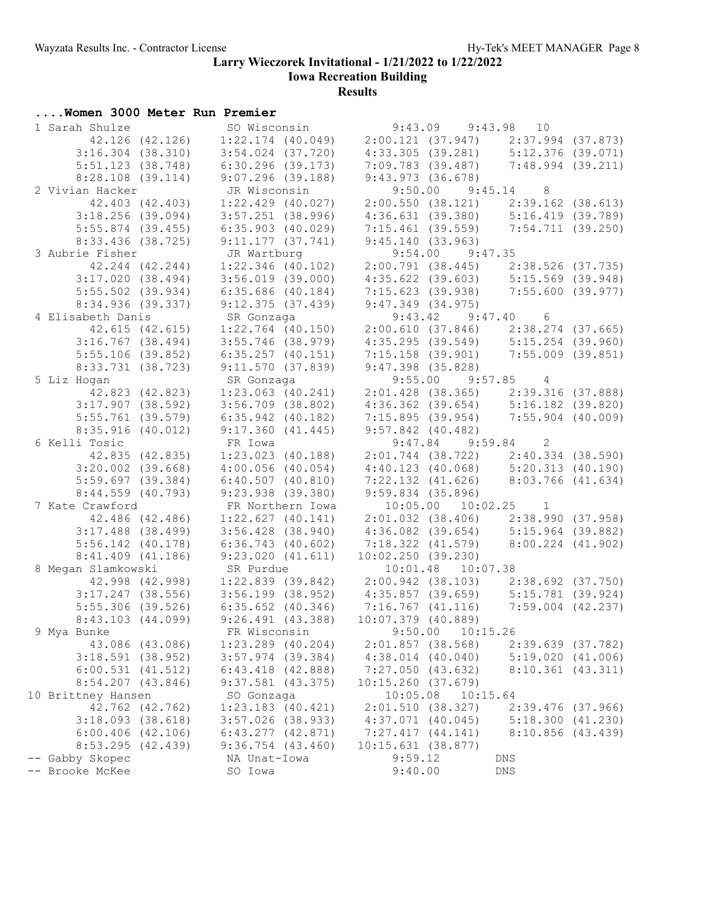**Iowa Recreation Building**

| Women 3000 Meter Run Premier                   |                                                        |                                 |                                 |                       |                       |                                                                                                                   |  |
|------------------------------------------------|--------------------------------------------------------|---------------------------------|---------------------------------|-----------------------|-----------------------|-------------------------------------------------------------------------------------------------------------------|--|
| 1 Sarah Shulze                                 |                                                        |                                 | SO Wisconsin 9:43.09 9:43.98 10 |                       |                       |                                                                                                                   |  |
| 42.126 (42.126)                                |                                                        |                                 |                                 |                       |                       | $1:22.174$ (40.049) $2:00.121$ (37.947) $2:37.994$ (37.873)                                                       |  |
| $3:16.304$ $(38.310)$                          |                                                        | $3:54.024$ (37.720)             |                                 |                       |                       | 4:33.305 (39.281) 5:12.376 (39.071)                                                                               |  |
| $5:51.123$ (38.748)                            |                                                        | 6:30.296 (39.173)               |                                 |                       |                       | 7:09.783 (39.487) 7:48.994 (39.211)                                                                               |  |
| 8:28.108 (39.114)                              |                                                        | $9:07.296$ (39.188)             |                                 |                       | 9:43.973 (36.678)     |                                                                                                                   |  |
| 2 Vivian Hacker                                |                                                        | JR Wisconsin                    |                                 |                       | $9:50.00$ $9:45.14$ 8 |                                                                                                                   |  |
| 42.403 (42.403)                                |                                                        | $1:22.429$ $(40.027)$           |                                 |                       |                       | $2:00.550$ (38.121) $2:39.162$ (38.613)                                                                           |  |
| $3:18.256$ (39.094)                            |                                                        | $3:57.251$ (38.996)             |                                 |                       |                       | 4:36.631 (39.380) 5:16.419 (39.789)                                                                               |  |
| $5:55.874$ (39.455)                            |                                                        | $6:35.903$ (40.029)             |                                 |                       |                       | $7:15.461$ (39.559) $7:54.711$ (39.250)                                                                           |  |
| 8:33.436 (38.725)                              |                                                        | 9:11.177(37.741)                |                                 | 9:45.140(33.963)      |                       |                                                                                                                   |  |
| 3 Aubrie Fisher                                |                                                        | JR Wartburg                     |                                 |                       | $9:54.00$ $9:47.35$   |                                                                                                                   |  |
| 42.244 (42.244)                                |                                                        | 1:22.346 (40.102)               |                                 |                       |                       | $2:00.791$ (38.445) $2:38.526$ (37.735)                                                                           |  |
| 3:17.020(38.494)                               |                                                        | $3:56.019$ (39.000)             |                                 |                       |                       | $4:35.622$ (39.603) $5:15.569$ (39.948)                                                                           |  |
| $5:55.502$ (39.934)                            |                                                        | $6:35.686$ (40.184)             |                                 |                       |                       | 7:15.623 (39.938) 7:55.600 (39.977)                                                                               |  |
| 8:34.936 (39.337)                              |                                                        | 9:12.375(37.439)                |                                 |                       | $9:47.349$ (34.975)   |                                                                                                                   |  |
| 4 Elisabeth Danis                              |                                                        |                                 |                                 |                       | $9:43.42$ $9:47.40$ 6 |                                                                                                                   |  |
| 42.615 (42.615)                                |                                                        | SR Gonzaga<br>1:22.764 (40.150) |                                 |                       |                       |                                                                                                                   |  |
| $3:16.767$ (38.494)                            |                                                        | $3:55.746$ (38.979)             |                                 |                       |                       | 2:00.610 (37.846) 2:38.274 (37.665)<br>4:35.295 (39.549) 5:15.254 (39.960)                                        |  |
| $5:55.106$ (39.852)                            |                                                        | $6:35.257$ $(40.151)$           |                                 |                       |                       | $7:15.158$ (39.901) $7:55.009$ (39.851)                                                                           |  |
| $8:33.731$ (38.723)                            |                                                        | 9:11.570(37.839)                |                                 | $9:47.398$ $(35.828)$ |                       |                                                                                                                   |  |
| 5 Liz Hogan                                    |                                                        | SR Gonzaga                      |                                 |                       | $9:55.00$ $9:57.85$ 4 |                                                                                                                   |  |
| 42.823 (42.823)                                |                                                        | $1:23.063$ $(40.241)$           |                                 |                       |                       |                                                                                                                   |  |
| $3:17.907$ (38.592)                            |                                                        | $3:56.709$ $(38.802)$           |                                 |                       |                       | 2:01.428 (38.365) 2:39.316 (37.888)<br>4:36.362 (39.654) 5:16.182 (39.820)<br>7:15.895 (39.954) 7:55.904 (40.009) |  |
| $5:55.761$ (39.579)                            |                                                        | $6:35.942$ (40.182)             |                                 |                       |                       |                                                                                                                   |  |
| 8:35.916(40.012)                               |                                                        | 9:17.360(41.445)                |                                 | $9:57.842$ (40.482)   |                       |                                                                                                                   |  |
| 6 Kelli Tosic                                  |                                                        | FR Iowa                         |                                 |                       | $9:47.84$ $9:59.84$ 2 |                                                                                                                   |  |
| 42.835 (42.835)                                |                                                        | $1:23.023$ $(40.188)$           |                                 |                       |                       | $2:01.744$ (38.722) $2:40.334$ (38.590)                                                                           |  |
| $3:20.002$ (39.668)                            |                                                        | $4:00.056$ $(40.054)$           |                                 |                       |                       | 4:40.123 (40.068) 5:20.313 (40.190)<br>7:22.132 (41.626) 8:03.766 (41.634)                                        |  |
| $5:59.697$ (39.384)                            |                                                        | 6:40.507(40.810)                |                                 |                       |                       |                                                                                                                   |  |
| $8:44.559$ (40.793)                            |                                                        | $9:23.938$ (39.380)             |                                 | $9:59.834$ (35.896)   |                       |                                                                                                                   |  |
| 7 Kate Crawford                                |                                                        | FR Northern Iowa                |                                 |                       |                       | $10:05.00$ $10:02.25$ 1                                                                                           |  |
| 42.486 (42.486)                                |                                                        | 1:22.627(40.141)                |                                 |                       |                       | 2:01.032 (38.406) 2:38.990 (37.958)                                                                               |  |
| $3:17.488$ (38.499)                            |                                                        |                                 |                                 |                       |                       |                                                                                                                   |  |
| $5:56.142$ (40.178)                            |                                                        | $6:36.743$ $(40.602)$           |                                 |                       |                       |                                                                                                                   |  |
| $8:41.409$ $(41.186)$                          |                                                        |                                 |                                 |                       |                       | $0:30.743$ (40.602) 7:18.322 (41.579) 8:00.224 (41.902)<br>9:23.020 (41.611) 10:02.250 (39.230) 8:00.224 (41.902) |  |
| 8 Megan Slamkowski SR Purdue 10:01.48 10:07.38 |                                                        |                                 |                                 |                       |                       |                                                                                                                   |  |
|                                                |                                                        |                                 |                                 |                       |                       | 42.998 (42.998) 1:22.839 (39.842) 2:00.942 (38.103) 2:38.692 (37.750)                                             |  |
|                                                |                                                        |                                 |                                 |                       |                       | 3:17.247 (38.556) 3:56.199 (38.952) 4:35.857 (39.659) 5:15.781 (39.924)                                           |  |
| $5:55.306$ (39.526)                            |                                                        | $6:35.652$ $(40.346)$           |                                 |                       |                       | 7:16.767 (41.116) 7:59.004 (42.237)                                                                               |  |
|                                                | 8:43.103 (44.099) 9:26.491 (43.388) 10:07.379 (40.889) |                                 |                                 |                       |                       |                                                                                                                   |  |
| 9 Mya Bunke                                    |                                                        | FR Wisconsin                    |                                 | 9:50.00               | 10:15.26              |                                                                                                                   |  |
| 43.086 (43.086)                                |                                                        | $1:23.289$ (40.204)             |                                 | $2:01.857$ (38.568)   |                       | 2:39.639(37.782)                                                                                                  |  |
| $3:18.591$ (38.952)                            |                                                        | $3:57.974$ (39.384)             |                                 | $4:38.014$ $(40.040)$ |                       | 5:19.020(41.006)                                                                                                  |  |
| $6:00.531$ $(41.512)$                          |                                                        | $6:43.418$ $(42.888)$           |                                 | 7:27.050(43.632)      |                       | $8:10.361$ $(43.311)$                                                                                             |  |
| $8:54.207$ $(43.846)$                          |                                                        | $9:37.581$ (43.375)             |                                 | 10:15.260(37.679)     |                       |                                                                                                                   |  |
| 10 Brittney Hansen                             |                                                        | SO Gonzaga                      |                                 | 10:05.08              | 10:15.64              |                                                                                                                   |  |
| 42.762 (42.762)                                |                                                        | $1:23.183$ $(40.421)$           |                                 | 2:01.510(38.327)      |                       | $2:39.476$ (37.966)                                                                                               |  |
| $3:18.093$ (38.618)                            |                                                        | $3:57.026$ (38.933)             |                                 | $4:37.071$ $(40.045)$ |                       | 5:18.300(41.230)                                                                                                  |  |
| $6:00.406$ $(42.106)$                          |                                                        | $6:43.277$ $(42.871)$           |                                 | 7:27.417(44.141)      |                       | 8:10.856(43.439)                                                                                                  |  |
| $8:53.295$ (42.439)                            |                                                        | $9:36.754$ $(43.460)$           |                                 | 10:15.631(38.877)     |                       |                                                                                                                   |  |
| -- Gabby Skopec                                |                                                        | NA Unat-Iowa                    |                                 | 9:59.12               |                       | DNS                                                                                                               |  |
| -- Brooke McKee                                |                                                        | SO Iowa                         |                                 | 9:40.00               |                       | DNS                                                                                                               |  |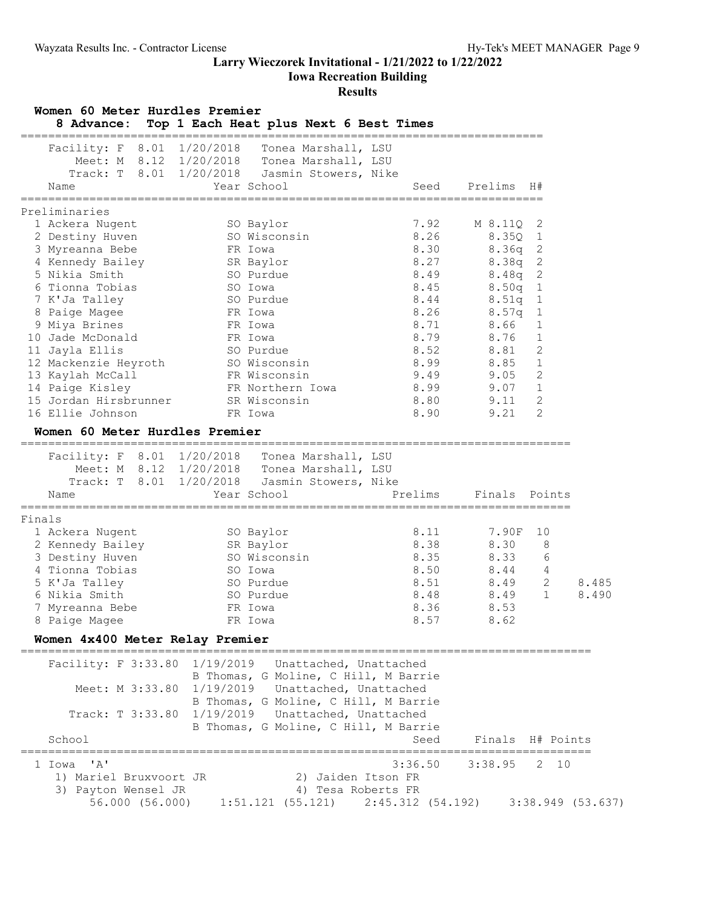**Iowa Recreation Building**

| Name                                          | Track: T 8.01 1/20/2018 | Jasmin Stowers, Nike                         | Meet: M 8.12 1/20/2018 Tonea Marshall, LSU |                  |                |       |
|-----------------------------------------------|-------------------------|----------------------------------------------|--------------------------------------------|------------------|----------------|-------|
|                                               |                         | Year School                                  | Seed                                       | Prelims          | H#             |       |
| Preliminaries                                 |                         |                                              |                                            |                  |                |       |
| 1 Ackera Nugent                               |                         | SO Baylor                                    | 7.92                                       | M 8.11Q          | 2              |       |
| 2 Destiny Huven                               |                         | SO Wisconsin                                 | 8.26                                       | 8.35Q            | $\mathbf{1}$   |       |
| 3 Myreanna Bebe                               |                         | FR Iowa                                      | 8.30                                       | 8.36q            | 2              |       |
| 4 Kennedy Bailey                              |                         | SR Baylor                                    | 8.27                                       | 8.38q            | $\mathbf{2}$   |       |
| 5 Nikia Smith                                 |                         | SO Purdue                                    | 8.49                                       | 8.48q            | $\mathbf{2}$   |       |
| 6 Tionna Tobias                               |                         | SO Iowa                                      | 8.45                                       | 8.50q 1          |                |       |
| 7 K'Ja Talley                                 |                         | SO Purdue                                    | 8.44                                       | 8.51q            | $\mathbf{1}$   |       |
| 8 Paige Magee                                 | FR Iowa                 |                                              | 8.26                                       | 8.57q            | 1              |       |
| 9 Miya Brines                                 | FR Iowa                 |                                              | 8.71                                       | 8.66             | 1              |       |
| 10 Jade McDonald                              | FR Iowa                 |                                              | 8.79                                       | 8.76             | 1              |       |
| 11 Jayla Ellis                                |                         | SO Purdue                                    | 8.52                                       | 8.81             | 2              |       |
|                                               |                         | SO Wisconsin                                 | 8.99                                       | 8.85             | $\mathbf 1$    |       |
| 12 Mackenzie Heyroth<br>13 Kaylah McCall      |                         | FR Wisconsin                                 | 9.49                                       | 9.05             | 2              |       |
| 14 Paige Kisley                               |                         | FR Northern Iowa                             | 8.99                                       | 9.07             | 1              |       |
| 15 Jordan Hirsbrunner                         |                         | SR Wisconsin                                 | 8.80                                       | 9.11             | 2              |       |
| 16 Ellie Johnson                              |                         | FR Iowa                                      | 8.90                                       | 9.21             | 2              |       |
| Women 60 Meter Hurdles Premier                |                         |                                              |                                            |                  |                |       |
|                                               |                         |                                              |                                            |                  |                |       |
| Facility: F 8.01 1/20/2018                    |                         | Tonea Marshall, LSU                          |                                            |                  |                |       |
|                                               |                         | Meet: M 8.12 1/20/2018 Tonea Marshall, LSU   |                                            |                  |                |       |
|                                               |                         | Track: T 8.01 1/20/2018 Jasmin Stowers, Nike |                                            |                  |                |       |
| Name                                          |                         | Year School                                  | Prelims                                    | Finals Points    |                |       |
| Finals                                        |                         |                                              |                                            |                  |                |       |
| 1 Ackera Nugent                               |                         | SO Baylor                                    | 8.11                                       | 7.90F            | 10             |       |
| 2 Kennedy Bailey                              |                         | SR Baylor                                    | 8.38                                       | 8.30             | 8              |       |
| 3 Destiny Huven                               |                         | SO Wisconsin                                 | 8.35                                       | 8.33             | 6              |       |
| 4 Tionna Tobias                               |                         | SO Iowa                                      | 8.50                                       | 8.44             | $\overline{4}$ |       |
| 5 K'Ja Talley                                 |                         | SO Purdue                                    | 8.51                                       | 8.49             | 2              | 8.485 |
| 6 Nikia Smith                                 |                         | SO Purdue                                    | 8.48                                       | 8.49             | $\mathbf{1}$   | 8.490 |
| 7 Myreanna Bebe                               |                         | FR Iowa                                      | 8.36                                       | 8.53             |                |       |
| 8 Paige Magee                                 |                         | FR Iowa                                      | 8.57                                       | 8.62             |                |       |
| Women 4x400 Meter Relay Premier               |                         |                                              |                                            |                  |                |       |
| ----------------------------                  |                         |                                              |                                            |                  |                |       |
| Facility: F 3:33.80 1/19/2019                 |                         | Unattached, Unattached                       |                                            |                  |                |       |
|                                               |                         | B Thomas, G Moline, C Hill, M Barrie         |                                            |                  |                |       |
| Meet: M 3:33.80 1/19/2019                     |                         | Unattached, Unattached                       |                                            |                  |                |       |
|                                               |                         | B Thomas, G Moline, C Hill, M Barrie         |                                            |                  |                |       |
| Track: T 3:33.80 1/19/2019                    |                         | Unattached, Unattached                       |                                            |                  |                |       |
| School                                        |                         | B Thomas, G Moline, C Hill, M Barrie         | Seed                                       | Finals H# Points |                |       |
|                                               |                         |                                              | ======                                     |                  |                |       |
| $\mathsf{r}_{\mathsf{A}}\mathsf{r}$<br>1 Iowa |                         |                                              | 3:36.50                                    | 3:38.95          | 2 10           |       |
|                                               |                         |                                              |                                            |                  |                |       |
| 1) Mariel Bruxvoort JR                        |                         | 2) Jaiden Itson FR                           |                                            |                  |                |       |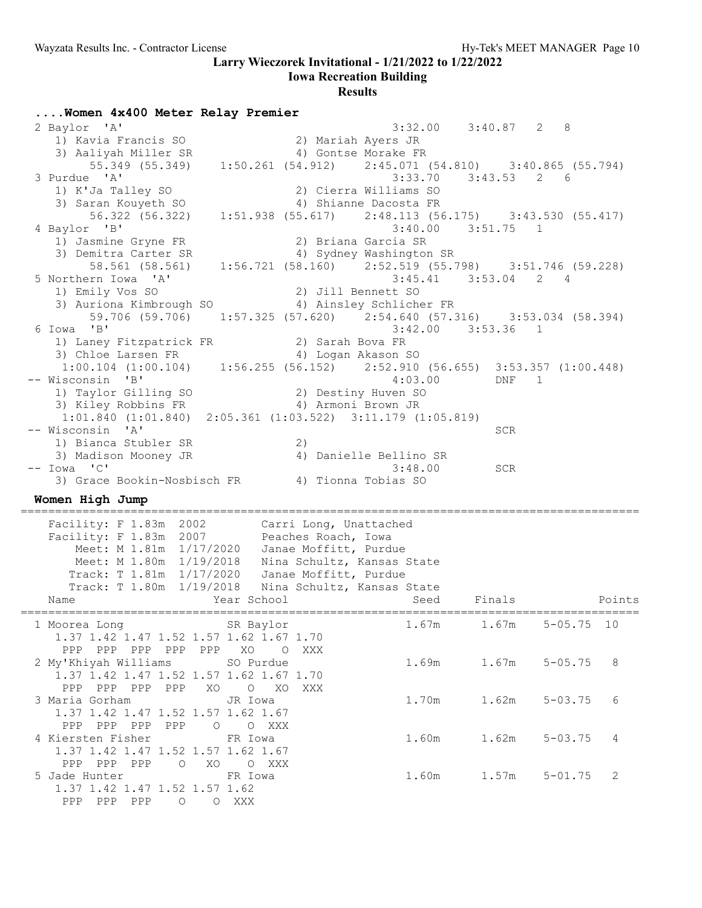**Iowa Recreation Building**

#### **Results**

**....Women 4x400 Meter Relay Premier** 2 Baylor 'A' 3:32.00 3:40.87 2 8 1) Kavia Francis SO 2) Mariah Ayers JR 3) Aaliyah Miller SR 4) Gontse Morake FR 55.349 (55.349) 1:50.261 (54.912) 2:45.071 (54.810) 3:40.865 (55.794) 3 Purdue 'A' 3:33.70 3:43.53 2 6 1) K'Ja Talley SO 2) Cierra Williams SO 3) Saran Kouyeth SO 4) Shianne Dacosta FR 56.322 (56.322) 1:51.938 (55.617) 2:48.113 (56.175) 3:43.530 (55.417) 4 Baylor 'B' 3:40.00 3:51.75 1 1) Jasmine Gryne FR 2) Briana Garcia SR 3) Demitra Carter SR 4) Sydney Washington SR 58.561 (58.561) 1:56.721 (58.160) 2:52.519 (55.798) 3:51.746 (59.228) 5 Northern Iowa 'A' 3:45.41 3:53.04 2 4 1) Emily Vos SO 2) Jill Bennett SO 3) Auriona Kimbrough SO 4) Ainsley Schlicher FR 59.706 (59.706) 1:57.325 (57.620) 2:54.640 (57.316) 3:53.034 (58.394)<br>6 Iowa 'B' 3:42.00 3:53.36 1 3:42.00 3:53.36 1 1) Laney Fitzpatrick FR 2) Sarah Bova FR 3) Chloe Larsen FR 4) Logan Akason SO 1:00.104 (1:00.104) 1:56.255 (56.152) 2:52.910 (56.655) 3:53.357 (1:00.448) -- Wisconsin 'B' 4:03.00 DNF 1 1) Taylor Gilling SO 2) Destiny Huven SO 3) Kiley Robbins FR 4) Armoni Brown JR  $1:01.840$  (1:01.840) 2:05.361 (1:03.522) 3:11.179 (1:05.819)<br>-- Wisconsin 'A' -- Wisconsin 'A' SCR 1) Bianca Stubler SR 2) 3) Madison Mooney JR 4) Danielle Bellino SR -- Iowa 'C' 3:48.00 SCR 3) Grace Bookin-Nosbisch FR 4) Tionna Tobias SO **Women High Jump** ========================================================================================== Facility: F 1.83m 2002 Carri Long, Unattached Facility: F 1.83m 2007 Peaches Roach, Iowa Meet: M 1.81m 1/17/2020 Janae Moffitt, Purdue Meet: M 1.80m 1/19/2018 Nina Schultz, Kansas State Track: T 1.81m 1/17/2020 Janae Moffitt, Purdue Track: T 1.80m 1/19/2018 Nina Schultz, Kansas State Name Year School Seed Finals Points ========================================================================================== 1 Moorea Long 6 SR Baylor 1.67m 1.67m 5-05.75 10 1.37 1.42 1.47 1.52 1.57 1.62 1.67 1.70 PPP PPP PPP PPP PPP XO O XXX 2 My'Khiyah Williams SO Purdue 1.69m 1.67m 5-05.75 8 1.37 1.42 1.47 1.52 1.57 1.62 1.67 1.70 PPP PPP PPP PPP XO O XO XXX 3 Maria Gorham JR Iowa 1.70m 1.62m 5-03.75 6 1.37 1.42 1.47 1.52 1.57 1.62 1.67 PPP PPP PPP PPP O O XXX 4 Kiersten Fisher FR Iowa 1.60m 1.62m 5-03.75 4 1.37 1.42 1.47 1.52 1.57 1.62 1.67 PPP PPP O XO O XXX 5 Jade Hunter **FR** Iowa 1.60m 1.57m 5-01.75 2 1.37 1.42 1.47 1.52 1.57 1.62 PPP PPP PPP O O XXX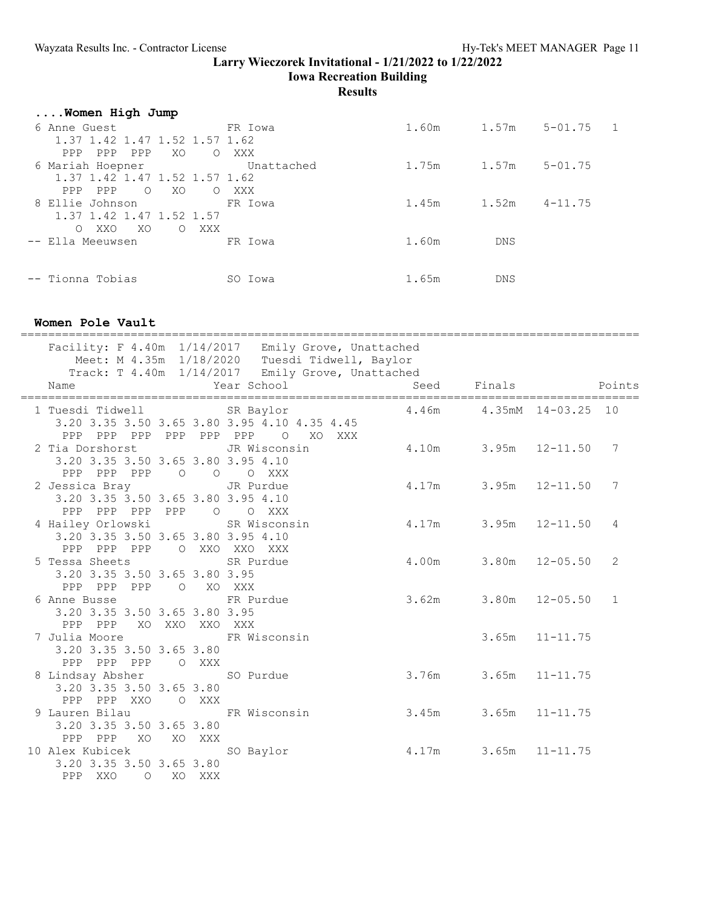**Iowa Recreation Building**

**Results**

| Women High Jump                         |            |       |            |             |    |
|-----------------------------------------|------------|-------|------------|-------------|----|
| 6 Anne Guest                            | FR Iowa    | 1.60m | 1.57m      | $5 - 01.75$ | -1 |
| 1.37 1.42 1.47 1.52 1.57 1.62           |            |       |            |             |    |
| XO<br>PPP<br>PPP<br>PPP<br>$\Omega$     | XXX        |       |            |             |    |
| 6 Mariah Hoepner                        | Unattached | 1.75m | 1.57m      | $5 - 01.75$ |    |
| 1.37 1.42 1.47 1.52 1.57 1.62           |            |       |            |             |    |
| PPP<br>PPP<br>$\circ$<br>XO<br>$\Omega$ | XXX        |       |            |             |    |
| 8 Ellie Johnson                         | FR Iowa    | 1.45m | 1.52m      | $4 - 11.75$ |    |
| 1.37 1.42 1.47 1.52 1.57                |            |       |            |             |    |
| XXO<br>XO.<br>O XXX<br>$\circ$          |            |       |            |             |    |
| -- Ella Meeuwsen                        | FR Iowa    | 1.60m | DNS        |             |    |
|                                         |            |       |            |             |    |
|                                         |            |       |            |             |    |
| -- Tionna Tobias                        | SO Iowa    | 1.65m | <b>DNS</b> |             |    |

## **Women Pole Vault**

| Facility: F 4.40m 1/14/2017 Emily Grove, Unattached<br>Meet: M 4.35m 1/18/2020 Tuesdi Tidwell, Baylor                           | Track: T 4.40m 1/14/2017 Emily Grove, Unattached |                             |                    |                    |                |
|---------------------------------------------------------------------------------------------------------------------------------|--------------------------------------------------|-----------------------------|--------------------|--------------------|----------------|
| Name                                                                                                                            | Year School                                      |                             | Seed Finals Points |                    |                |
| 1 Tuesdi Tidwell SR Baylor<br>3.20 3.35 3.50 3.65 3.80 3.95 4.10 4.35 4.45<br>PPP PPP PPP PPP PPP PPP O XO XXX                  |                                                  | 4.46m  4.35mM  14-03.25  10 |                    |                    |                |
| 2 Tia Dorshorst Manuel JR Wisconsin<br>3.20 3.35 3.50 3.65 3.80 3.95 4.10<br>PPP PPP PPP 0 0 0 XXX                              |                                                  | 4.10m 3.95m 12-11.50 7      |                    |                    |                |
| 2 Jessica Bray TR Purdue<br>3.20 3.35 3.50 3.65 3.80 3.95 4.10<br>PPP PPP PPP PPP 0 0 XXX                                       |                                                  | 4.17m 3.95m 12-11.50 7      |                    |                    |                |
| 4 Hailey Orlowski SR Wisconsin<br>3.20 3.35 3.50 3.65 3.80 3.95 4.10<br>PPP PPP PPP O XXO XXO XXX                               |                                                  | $4.17m$ $3.95m$ $12-11.50$  |                    |                    | $\overline{4}$ |
| 5 Tessa Sheets SR Purdue<br>3.20 3.35 3.50 3.65 3.80 3.95<br>PPP PPP PPP 0 XO XXX                                               |                                                  | $4.00m$ $3.80m$ $12-05.50$  |                    |                    | 2              |
| 6 Anne Busse TR Purdue<br>3.20 3.35 3.50 3.65 3.80 3.95<br>PPP PPP XO XXO XXO XXX                                               |                                                  | 3.62m 3.80m 12-05.50 1      |                    |                    |                |
| 7 Julia Moore 6 FR Wisconsin<br>3.20 3.35 3.50 3.65 3.80<br>PPP PPP PPP 0 XXX                                                   |                                                  |                             |                    | $3.65m$ $11-11.75$ |                |
| 8 Lindsay Absher 50 Purdue<br>3.20 3.35 3.50 3.65 3.80<br>PPP PPP XXO O XXX                                                     |                                                  | 3.76m 3.65m 11-11.75        |                    |                    |                |
| 9 Lauren Bilau           FR Wisconsin             3.45m       3.65m   11-11.75<br>3.20 3.35 3.50 3.65 3.80<br>PPP PPP XO XO XXX |                                                  |                             |                    |                    |                |
| 10 Alex Kubicek 50 Baylor 50 8.17m 3.65m 11-11.75<br>3.20 3.35 3.50 3.65 3.80<br>PPP XXO O XO XXX                               |                                                  |                             |                    |                    |                |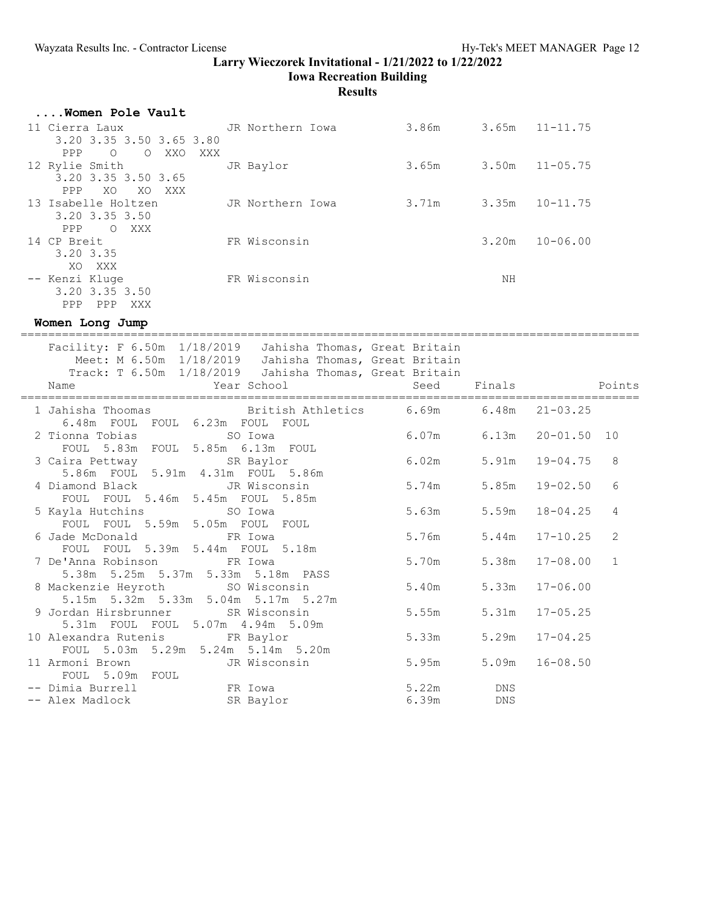**Iowa Recreation Building**

# **Results**

| Women Pole Vault                               |                  |       |       |              |
|------------------------------------------------|------------------|-------|-------|--------------|
| 11 Cierra Laux                                 | JR Northern Iowa | 3.86m | 3.65m | $11 - 11.75$ |
| 3.20 3.35 3.50 3.65 3.80                       |                  |       |       |              |
| <b>PPP</b><br>$\circ$<br>$\circ$<br>XXO<br>XXX |                  |       |       |              |
| 12 Rylie Smith                                 | JR Baylor        | 3.65m | 3.50m | $11 - 05.75$ |
| 3.20 3.35 3.50 3.65                            |                  |       |       |              |
| <b>PPP</b><br>XO<br>XO XXX                     |                  |       |       |              |
| 13 Isabelle Holtzen                            | JR Northern Iowa | 3.71m | 3.35m | $10 - 11.75$ |
| 3.20 3.35 3.50                                 |                  |       |       |              |
| PPP<br>O XXX                                   |                  |       |       |              |
| 14 CP Breit                                    | FR Wisconsin     |       | 3.20m | $10 - 06.00$ |
| 3.20 3.35                                      |                  |       |       |              |
| XXX<br>XO.                                     |                  |       |       |              |
| -- Kenzi Kluge                                 | FR Wisconsin     |       | ΝH    |              |
| 3.20 3.35 3.50                                 |                  |       |       |              |
| <b>PPP</b><br>XXX<br>PPP                       |                  |       |       |              |

**Women Long Jump**

| Facility: F 6.50m 1/18/2019 Jahisha Thomas, Great Britain<br>Meet: M 6.50m 1/18/2019 Jahisha Thomas, Great Britain<br>Track: T 6.50m 1/18/2019  Jahisha Thomas, Great Britain |                                 |       |                    |                |
|-------------------------------------------------------------------------------------------------------------------------------------------------------------------------------|---------------------------------|-------|--------------------|----------------|
| Year School and Seed Finals and Points<br>Name                                                                                                                                |                                 |       |                    |                |
| 1 Jahisha Thoomas 6 British Athletics 6.69m 6.48m 21-03.25<br>6.48m FOUL FOUL 6.23m FOUL FOUL                                                                                 |                                 |       |                    |                |
| 2 Tionna Tobias 60 SO Iowa                                                                                                                                                    | FOUL<br>6.07m 6.13m 20-01.50 10 |       |                    |                |
| FOUL 5.83m FOUL 5.85m 6.13m FOUL                                                                                                                                              |                                 |       |                    |                |
| 3 Caira Pettway SR Baylor 6.02m                                                                                                                                               |                                 |       | 5.91m  19-04.75    | 8              |
| 5.86m FOUL 5.91m 4.31m FOUL 5.86m                                                                                                                                             |                                 |       |                    |                |
| 4 Diamond Black JR Wisconsin 5.74m 5.85m 19-02.50<br>FOUL FOUL 5.46m 5.45m FOUL 5.85m                                                                                         |                                 |       |                    | 6              |
| 5 Kayla Hutchins SO Iowa                                                                                                                                                      | 5.63m                           | 5.59m | $18 - 04.25$       | $\overline{4}$ |
| FOUL FOUL 5.59m 5.05m FOUL FOUL<br>6 Jade McDonald Go FR Iowa                                                                                                                 | $5.76m$ $5.44m$ $17-10.25$      |       |                    | 2              |
| FOUL FOUL 5.39m 5.44m FOUL 5.18m                                                                                                                                              |                                 |       |                    |                |
| 7 De'Anna Robinson FR Iowa                                                                                                                                                    | 5.70m                           |       | $5.38m$ $17-08.00$ | 1              |
| 5.38m 5.25m 5.37m 5.33m 5.18m PASS                                                                                                                                            |                                 |       |                    |                |
| 8 Mackenzie Heyroth SO Wisconsin                                                                                                                                              | 5.40m                           |       | $5.33m$ $17-06.00$ |                |
| 5.15m 5.32m 5.33m 5.04m 5.17m 5.27m                                                                                                                                           |                                 |       |                    |                |
| 9 Jordan Hirsbrunner SR Wisconsin                                                                                                                                             | 5.55m                           |       | 5.31m 17-05.25     |                |
| 5.31m FOUL FOUL 5.07m 4.94m 5.09m                                                                                                                                             |                                 |       |                    |                |
| 10 Alexandra Rutenis FR Baylor                                                                                                                                                | 5.33m                           |       | $5.29m$ $17-04.25$ |                |
| FOUL 5.03m 5.29m 5.24m 5.14m 5.20m<br>11 Armoni Brown JR Wisconsin 5.95m                                                                                                      |                                 |       | $5.09m$ $16-08.50$ |                |
| FOUL 5.09m FOUL                                                                                                                                                               |                                 |       |                    |                |
| $--$ Dimia Burrell FR Iowa $5.22m$ DNS                                                                                                                                        |                                 |       |                    |                |
| -- Alex Madlock SR Baylor 6.39m DNS                                                                                                                                           |                                 |       |                    |                |
|                                                                                                                                                                               |                                 |       |                    |                |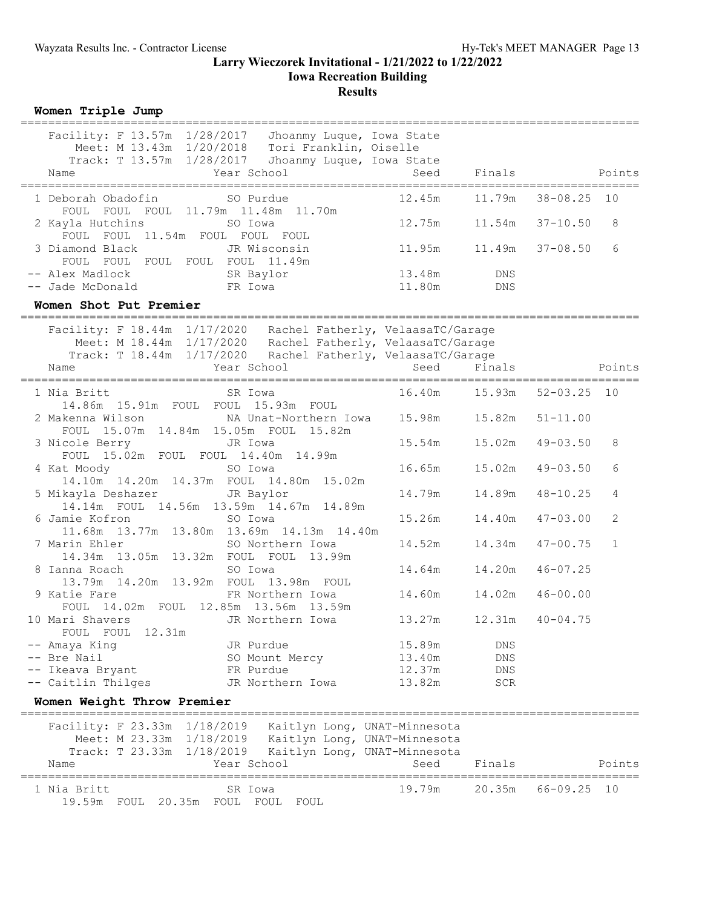### **Larry Wieczorek Invitational - 1/21/2022 to 1/22/2022 Iowa Recreation Building Results**

**Women Triple Jump**

| Facility: F 13.57m 1/28/2017 Jhoanmy Luque, Iowa State<br>Meet: M 13.43m 1/20/2018 Tori Franklin, Oiselle<br>Track: T 13.57m 1/28/2017 Jhoanmy Luque, Iowa State<br>Year School<br>Name  |                                 | Seed Finals | Points       |        |
|------------------------------------------------------------------------------------------------------------------------------------------------------------------------------------------|---------------------------------|-------------|--------------|--------|
| 1 Deborah Obadofin SO Purdue<br>FOUL FOUL FOUL 11.79m 11.48m 11.70m                                                                                                                      | 12.45m   11.79m   38-08.25   10 |             |              |        |
| 2 Kayla Hutchins 50 Iowa<br>FOUL FOUL 11.54m FOUL FOUL FOUL                                                                                                                              | $12.75m$ $11.54m$ $37-10.50$    |             |              | 8      |
| 3 Diamond Black Government JR Wisconsin<br>FOUL FOUL FOUL FOUL FOUL 11.49m                                                                                                               | $11.95m$ $11.49m$ $37-08.50$    |             |              | 6      |
|                                                                                                                                                                                          | 13.48m DNS<br>11.80m DNS        |             |              |        |
| Women Shot Put Premier                                                                                                                                                                   |                                 |             |              |        |
|                                                                                                                                                                                          |                                 |             |              |        |
| Facility: F 18.44m 1/17/2020 Rachel Fatherly, VelaasaTC/Garage<br>Meet: M 18.44m 1/17/2020 Rachel Fatherly, VelaasaTC/Garage                                                             |                                 |             |              |        |
| Track: T 18.44m 1/17/2020 Rachel Fatherly, VelaasaTC/Garage                                                                                                                              |                                 |             |              |        |
| Year School<br>Name<br>===================                                                                                                                                               | =====================           | Seed Finals |              | Points |
| SR Iowa<br>1 Nia Britt<br>14.86m  15.91m  FOUL  FOUL  15.93m  FOUL                                                                                                                       | 16.40m   15.93m   52-03.25   10 |             |              |        |
| 2 Makenna Wilson MA Unat-Northern Iowa 15.98m 15.82m 51-11.00<br>FOUL 15.07m 14.84m 15.05m FOUL 15.82m                                                                                   |                                 |             |              |        |
| 3 Nicole Berry Sand JR Iowa<br>FOUL 15.02m FOUL FOUL 14.40m 14.99m                                                                                                                       | 15.54m   15.02m   49-03.50      |             |              | 8      |
| 4 Kat Moody<br>SO Iowa<br>14.10m  14.20m  14.37m  FOUL  14.80m  15.02m                                                                                                                   | 16.65m   15.02m   49-03.50      |             |              | 6      |
| 5 Mikayla Deshazer JR Baylor<br>14.14m FOUL 14.56m 13.59m 14.67m 14.89m                                                                                                                  |                                 |             | $48 - 10.25$ | 4      |
| 6 Jamie Kofron<br>SO Iowa<br>11.68m  13.77m  13.80m  13.69m  14.13m  14.40m                                                                                                              |                                 |             | $47 - 03.00$ | 2      |
| 7 Marin Ehler<br>SO Northern Iowa<br>14.34m 13.05m 13.32m FOUL FOUL 13.99m                                                                                                               |                                 |             | $47 - 00.75$ | 1      |
| 8 Ianna Roach<br>SO Iowa<br>13.79m  14.20m  13.92m  FOUL  13.98m  FOUL                                                                                                                   |                                 |             | $46 - 07.25$ |        |
| 9 Katie Fare 6 19 FR Northern Iowa<br>FOUL 14.02m FOUL 12.85m 13.56m 13.59m                                                                                                              |                                 |             | $46 - 00.00$ |        |
| 10 Mari Shavers TR Northern Iowa<br>FOUL FOUL 12.31m                                                                                                                                     | 13.27m   12.31m   40-04.75      |             |              |        |
| -- Amaya King<br>JR Purdue                                                                                                                                                               | 15.89m                          | DNS         |              |        |
| Bre Nail<br>SO Mount Mercy                                                                                                                                                               | 13.40m                          | DNS         |              |        |
| Ikeava Bryant<br>FR Purdue                                                                                                                                                               | 12.37m                          | DNS         |              |        |
| -- Caitlin Thilges<br>JR Northern Iowa                                                                                                                                                   | 13.82m                          | SCR         |              |        |
| Women Weight Throw Premier                                                                                                                                                               |                                 |             |              |        |
| Facility: F 23.33m 1/18/2019<br>Kaitlyn Long, UNAT-Minnesota<br>Meet: M 23.33m 1/18/2019<br>Kaitlyn Long, UNAT-Minnesota<br>Track: T 23.33m<br>1/18/2019<br>Kaitlyn Long, UNAT-Minnesota |                                 |             |              |        |
| Year School<br>Name                                                                                                                                                                      | Seed                            | Finals      |              | Points |
| ===========<br>1 Nia Britt<br>SR Iowa<br>19.59m FOUL 20.35m FOUL FOUL FOUL                                                                                                               | 19.79m                          | 20.35m      | $66 - 09.25$ | 10     |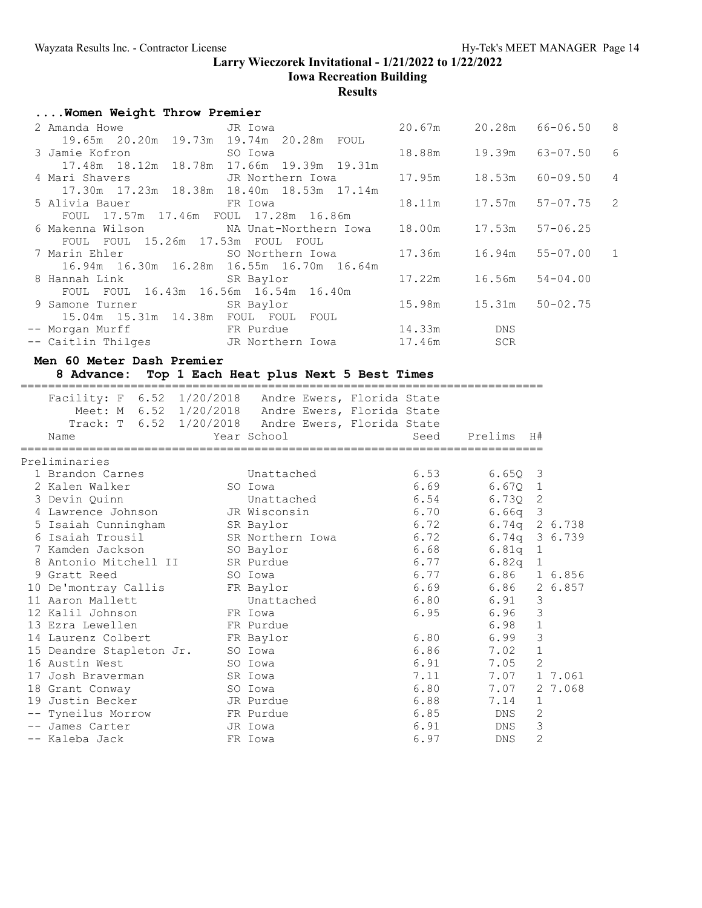## **Larry Wieczorek Invitational - 1/21/2022 to 1/22/2022 Iowa Recreation Building**

**Results**

|  |  |  |  |  | Women Weight Throw Premier |
|--|--|--|--|--|----------------------------|
|--|--|--|--|--|----------------------------|

| 2 Amanda Howe GR JR Iowa                                                       |                                                |                              |     | 20.67m 20.28m 66-06.50 8    |                |
|--------------------------------------------------------------------------------|------------------------------------------------|------------------------------|-----|-----------------------------|----------------|
|                                                                                | 19.65m  20.20m  19.73m  19.74m  20.28m  FOUL   |                              |     |                             |                |
|                                                                                |                                                |                              |     |                             | 6              |
|                                                                                | 17.48m  18.12m  18.78m  17.66m  19.39m  19.31m |                              |     |                             |                |
| 4 Mari Shavers           JR Northern Iowa         17.95m     18.53m   60-09.50 |                                                |                              |     |                             | $\overline{4}$ |
|                                                                                | 17.30m  17.23m  18.38m  18.40m  18.53m  17.14m |                              |     |                             |                |
| 5 Alivia Bauer                                                                 | FR Iowa                                        |                              |     | 18.11m  17.57m  57-07.75  2 |                |
| FOUL 17.57m 17.46m FOUL 17.28m 16.86m                                          |                                                |                              |     |                             |                |
| 6 Makenna Wilson         NA Unat-Northern Iowa   18.00m     17.53m             |                                                |                              |     | $57 - 06.25$                |                |
| FOUL FOUL 15.26m 17.53m FOUL                                                   | FOUL                                           |                              |     |                             |                |
|                                                                                |                                                |                              |     |                             |                |
|                                                                                | 16.94m 16.30m 16.28m 16.55m 16.70m 16.64m      |                              |     |                             |                |
| 8 Hannah Link SR Baylor                                                        |                                                | $17.22m$ $16.56m$ $54-04.00$ |     |                             |                |
| FOUL FOUL 16.43m 16.56m 16.54m 16.40m                                          |                                                |                              |     |                             |                |
| 9 Samone Turner SR Baylor<br>15.04m  15.31m  14.38m  FOUL  FOUL  FOUL          |                                                |                              |     |                             |                |
| -- Morgan Murff                 FR Purdue                         14.33m       |                                                |                              | DNS |                             |                |
| -- Caitlin Thilges TR Northern Iowa 17.46m                                     |                                                |                              | SCR |                             |                |
|                                                                                |                                                |                              |     |                             |                |

**Men 60 Meter Dash Premier**

## **8 Advance: Top 1 Each Heat plus Next 5 Best Times**

| Name |                                                                                                                                                                                                                                                                                                |                                                                        |                                                                                                                                                                                                                                                                                                                     |                                                                            |      |                                                                                                                                                                  |                                                                                                                                                              |                                                                                                                                                                                                             |
|------|------------------------------------------------------------------------------------------------------------------------------------------------------------------------------------------------------------------------------------------------------------------------------------------------|------------------------------------------------------------------------|---------------------------------------------------------------------------------------------------------------------------------------------------------------------------------------------------------------------------------------------------------------------------------------------------------------------|----------------------------------------------------------------------------|------|------------------------------------------------------------------------------------------------------------------------------------------------------------------|--------------------------------------------------------------------------------------------------------------------------------------------------------------|-------------------------------------------------------------------------------------------------------------------------------------------------------------------------------------------------------------|
|      |                                                                                                                                                                                                                                                                                                |                                                                        |                                                                                                                                                                                                                                                                                                                     |                                                                            |      |                                                                                                                                                                  |                                                                                                                                                              |                                                                                                                                                                                                             |
|      |                                                                                                                                                                                                                                                                                                |                                                                        |                                                                                                                                                                                                                                                                                                                     |                                                                            |      |                                                                                                                                                                  |                                                                                                                                                              |                                                                                                                                                                                                             |
|      |                                                                                                                                                                                                                                                                                                |                                                                        |                                                                                                                                                                                                                                                                                                                     |                                                                            |      |                                                                                                                                                                  |                                                                                                                                                              |                                                                                                                                                                                                             |
|      |                                                                                                                                                                                                                                                                                                |                                                                        |                                                                                                                                                                                                                                                                                                                     |                                                                            |      |                                                                                                                                                                  |                                                                                                                                                              |                                                                                                                                                                                                             |
|      |                                                                                                                                                                                                                                                                                                |                                                                        |                                                                                                                                                                                                                                                                                                                     |                                                                            |      |                                                                                                                                                                  |                                                                                                                                                              |                                                                                                                                                                                                             |
|      |                                                                                                                                                                                                                                                                                                |                                                                        |                                                                                                                                                                                                                                                                                                                     |                                                                            |      |                                                                                                                                                                  |                                                                                                                                                              |                                                                                                                                                                                                             |
|      |                                                                                                                                                                                                                                                                                                |                                                                        |                                                                                                                                                                                                                                                                                                                     |                                                                            |      |                                                                                                                                                                  |                                                                                                                                                              |                                                                                                                                                                                                             |
|      |                                                                                                                                                                                                                                                                                                |                                                                        |                                                                                                                                                                                                                                                                                                                     |                                                                            |      |                                                                                                                                                                  |                                                                                                                                                              |                                                                                                                                                                                                             |
|      |                                                                                                                                                                                                                                                                                                |                                                                        |                                                                                                                                                                                                                                                                                                                     |                                                                            |      |                                                                                                                                                                  |                                                                                                                                                              |                                                                                                                                                                                                             |
|      |                                                                                                                                                                                                                                                                                                |                                                                        |                                                                                                                                                                                                                                                                                                                     |                                                                            |      |                                                                                                                                                                  |                                                                                                                                                              |                                                                                                                                                                                                             |
|      |                                                                                                                                                                                                                                                                                                |                                                                        |                                                                                                                                                                                                                                                                                                                     |                                                                            |      |                                                                                                                                                                  |                                                                                                                                                              |                                                                                                                                                                                                             |
|      |                                                                                                                                                                                                                                                                                                |                                                                        |                                                                                                                                                                                                                                                                                                                     |                                                                            |      |                                                                                                                                                                  |                                                                                                                                                              |                                                                                                                                                                                                             |
|      |                                                                                                                                                                                                                                                                                                |                                                                        |                                                                                                                                                                                                                                                                                                                     |                                                                            |      |                                                                                                                                                                  | 3                                                                                                                                                            |                                                                                                                                                                                                             |
|      |                                                                                                                                                                                                                                                                                                |                                                                        |                                                                                                                                                                                                                                                                                                                     |                                                                            |      |                                                                                                                                                                  | $\mathfrak{Z}$                                                                                                                                               |                                                                                                                                                                                                             |
|      |                                                                                                                                                                                                                                                                                                |                                                                        |                                                                                                                                                                                                                                                                                                                     |                                                                            |      | 6.98                                                                                                                                                             | $1\,$                                                                                                                                                        |                                                                                                                                                                                                             |
|      |                                                                                                                                                                                                                                                                                                |                                                                        |                                                                                                                                                                                                                                                                                                                     |                                                                            |      | 6.99                                                                                                                                                             | $\mathfrak{Z}$                                                                                                                                               |                                                                                                                                                                                                             |
|      |                                                                                                                                                                                                                                                                                                |                                                                        |                                                                                                                                                                                                                                                                                                                     |                                                                            |      |                                                                                                                                                                  | $\mathbf 1$                                                                                                                                                  |                                                                                                                                                                                                             |
|      |                                                                                                                                                                                                                                                                                                |                                                                        |                                                                                                                                                                                                                                                                                                                     |                                                                            |      |                                                                                                                                                                  | $\overline{c}$                                                                                                                                               |                                                                                                                                                                                                             |
|      |                                                                                                                                                                                                                                                                                                |                                                                        |                                                                                                                                                                                                                                                                                                                     |                                                                            |      |                                                                                                                                                                  |                                                                                                                                                              | 1 7.061                                                                                                                                                                                                     |
|      |                                                                                                                                                                                                                                                                                                |                                                                        |                                                                                                                                                                                                                                                                                                                     |                                                                            |      |                                                                                                                                                                  |                                                                                                                                                              | 2 7.068                                                                                                                                                                                                     |
|      |                                                                                                                                                                                                                                                                                                |                                                                        |                                                                                                                                                                                                                                                                                                                     |                                                                            |      | 7.14                                                                                                                                                             | $\mathbf{1}$                                                                                                                                                 |                                                                                                                                                                                                             |
|      |                                                                                                                                                                                                                                                                                                |                                                                        |                                                                                                                                                                                                                                                                                                                     |                                                                            |      | DNS                                                                                                                                                              | 2                                                                                                                                                            |                                                                                                                                                                                                             |
|      |                                                                                                                                                                                                                                                                                                |                                                                        |                                                                                                                                                                                                                                                                                                                     |                                                                            | 6.91 | <b>DNS</b>                                                                                                                                                       | 3                                                                                                                                                            |                                                                                                                                                                                                             |
|      |                                                                                                                                                                                                                                                                                                |                                                                        |                                                                                                                                                                                                                                                                                                                     |                                                                            | 6.97 | DNS                                                                                                                                                              | $\overline{c}$                                                                                                                                               |                                                                                                                                                                                                             |
|      | Preliminaries<br>1 Brandon Carnes<br>2 Kalen Walker<br>3 Devin Ouinn<br>6 Isaiah Trousil<br>9 Gratt Reed<br>11 Aaron Mallett<br>12 Kalil Johnson<br>13 Ezra Lewellen<br>14 Laurenz Colbert<br>16 Austin West<br>17<br>18 Grant Conway<br>19 Justin Becker<br>-- James Carter<br>-- Kaleba Jack | 4 Lawrence Johnson<br>10 De'montray Callis<br>15 Deandre Stapleton Jr. | Year School<br>SO Iowa<br>5 Isaiah Cunningham SR Baylor<br>7 Kamden Jackson SO Baylor<br>8 Antonio Mitchell II SR Purdue<br>SO Iowa<br>FR Baylor<br>FR Iowa<br>ER Purdue<br>FR Baylor<br>SO Iowa<br>SO Iowa<br>Josh Braverman SR Iowa<br>SO Iowa<br>JR Purdue<br>-- Tyneilus Morrow FR Purdue<br>JR Iowa<br>FR Iowa | Unattached<br>Unattached<br>JR Wisconsin<br>SR Northern Iowa<br>Unattached |      | Facility: F 6.52 1/20/2018 Andre Ewers, Florida State<br>Meet: M 6.52 1/20/2018 Andre Ewers, Florida State<br>Track: T 6.52 1/20/2018 Andre Ewers, Florida State | Seed<br>6.53<br>6.69<br>6.54<br>6.70<br>6.72<br>6.72<br>6.68<br>6.77<br>6.77<br>6.69<br>6.80<br>6.95<br>6.80<br>6.86<br>6.91<br>7.11<br>6.80<br>6.88<br>6.85 | Prelims<br>H#<br>$6.650$ 3<br>$6.67Q$ 1<br>6.730 2<br>$6.66q$ 3<br>6.74q 2 6.738<br>6.74q 3 6.739<br>$6.81q$ 1<br>$6.82q$ 1<br>6.86 1 6.856<br>6.86 2 6.857<br>6.91<br>6.96<br>7.02<br>7.05<br>7.07<br>7.07 |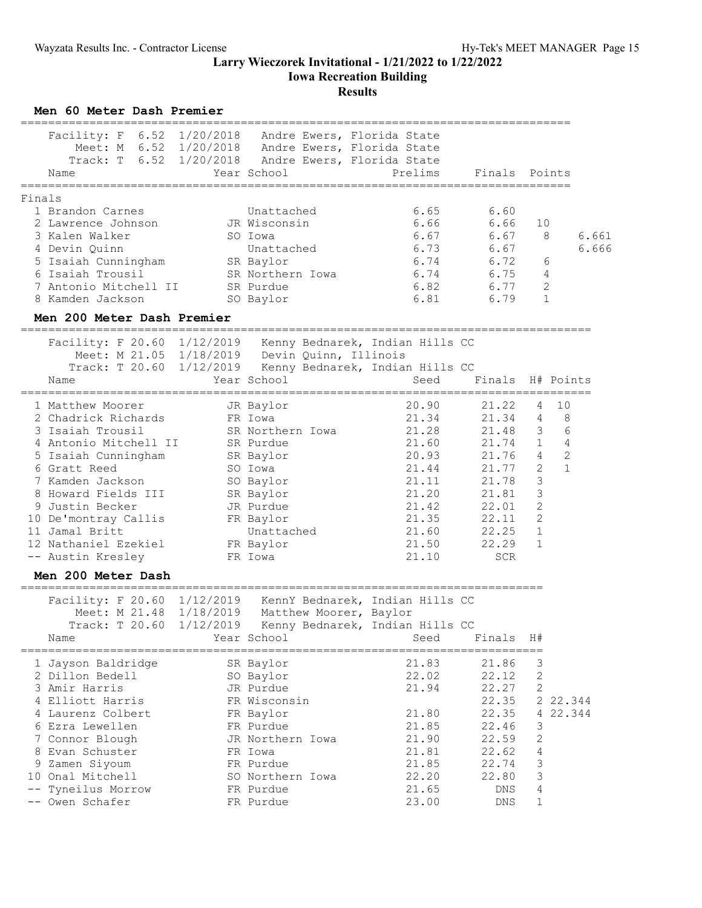**Iowa Recreation Building**

# **Results**

**Men 60 Meter Dash Premier**

| Facility: F 6.52 1/20/2018 Andre Ewers, Florida State<br>Name                                                                                                                                                                                                                                               | Meet: M 6.52 1/20/2018 Andre Ewers, Florida State<br>Track: T 6.52 1/20/2018 Andre Ewers, Florida State<br>Year School                                                  | Prelims                                                                                                           | Finals Points                                                                                                            |                                                                                                                                       |                                                     |
|-------------------------------------------------------------------------------------------------------------------------------------------------------------------------------------------------------------------------------------------------------------------------------------------------------------|-------------------------------------------------------------------------------------------------------------------------------------------------------------------------|-------------------------------------------------------------------------------------------------------------------|--------------------------------------------------------------------------------------------------------------------------|---------------------------------------------------------------------------------------------------------------------------------------|-----------------------------------------------------|
|                                                                                                                                                                                                                                                                                                             |                                                                                                                                                                         |                                                                                                                   |                                                                                                                          |                                                                                                                                       |                                                     |
| Finals<br>1 Brandon Carnes<br>2 Lawrence Johnson<br>3 Kalen Walker<br>4 Devin Quinn<br>5 Isaiah Cunningham<br>6 Isaiah Trousil<br>7 Antonio Mitchell II<br>8 Kamden Jackson                                                                                                                                 | Unattached<br>JR Wisconsin<br>SO Iowa<br>Unattached<br>SR Baylor<br>SR Northern Iowa<br>SR Purdue<br>SO Baylor                                                          | 6.65<br>6.66<br>6.67<br>6.73<br>6.74<br>6.74<br>6.82<br>6.81                                                      | 6.60<br>6.66<br>6.67<br>6.67<br>6.72<br>6.75<br>6.77<br>6.79                                                             | 10<br>8<br>6<br>4<br>2<br>$\mathbf{1}$                                                                                                | 6.661<br>6.666                                      |
| Men 200 Meter Dash Premier                                                                                                                                                                                                                                                                                  |                                                                                                                                                                         |                                                                                                                   |                                                                                                                          |                                                                                                                                       |                                                     |
| Facility: F 20.60 1/12/2019 Kenny Bednarek, Indian Hills CC<br>Name                                                                                                                                                                                                                                         | Meet: M 21.05 1/18/2019 Devin Quinn, Illinois<br>Track: T 20.60 1/12/2019 Kenny Bednarek, Indian Hills CC<br>Year School                                                | Seed                                                                                                              | Finals H# Points                                                                                                         |                                                                                                                                       |                                                     |
| =======================<br>1 Matthew Moorer<br>2 Chadrick Richards<br>3 Isaiah Trousil<br>4 Antonio Mitchell II<br>5 Isaiah Cunningham<br>6 Gratt Reed<br>7 Kamden Jackson<br>8 Howard Fields III<br>9 Justin Becker<br>10 De'montray Callis<br>11 Jamal Britt<br>12 Nathaniel Ezekiel<br>-- Austin Kresley | JR Baylor<br>FR Iowa<br>SR Northern Iowa<br>SR Purdue<br>SR Baylor<br>SO Iowa<br>SO Baylor<br>SR Baylor<br>JR Purdue<br>FR Baylor<br>Unattached<br>FR Baylor<br>FR Iowa | 20.90<br>21.34<br>21.28<br>21.60<br>20.93<br>21.44<br>21.11<br>21.20<br>21.42<br>21.35<br>21.60<br>21.50<br>21.10 | 21.22<br>21.34<br>21.48 3<br>21.74<br>21.76<br>21.77<br>21.78<br>21.81<br>22.01<br>22.11<br>22.25<br>22.29<br><b>SCR</b> | 4<br>4<br>$\mathbf 1$<br>$\overline{4}$<br>$\mathbf{2}$<br>3<br>3<br>$\overline{2}$<br>$\overline{2}$<br>$\mathbf{1}$<br>$\mathbf{1}$ | 10<br>8<br>6<br>$\overline{4}$<br>2<br>$\mathbf{1}$ |
| Men 200 Meter Dash                                                                                                                                                                                                                                                                                          |                                                                                                                                                                         |                                                                                                                   |                                                                                                                          |                                                                                                                                       |                                                     |
| Facility: F 20.60 1/12/2019 KennY Bednarek, Indian Hills CC<br>Name                                                                                                                                                                                                                                         | Meet: M 21.48 1/18/2019 Matthew Moorer, Baylor<br>Track: T 20.60 1/12/2019 Kenny Bednarek, Indian Hills CC<br>Year School                                               | Seed                                                                                                              | Finals                                                                                                                   | H#                                                                                                                                    |                                                     |
| 1 Jayson Baldridge<br>2 Dillon Bedell<br>3 Amir Harris<br>4 Elliott Harris<br>4 Laurenz Colbert<br>6 Ezra Lewellen<br>7 Connor Blough<br>8 Evan Schuster<br>9 Zamen Siyoum<br>10 Onal Mitchell<br>Tyneilus Morrow<br>-- Owen Schafer                                                                        | SR Baylor<br>SO Baylor<br>JR Purdue<br>FR Wisconsin<br>FR Baylor<br>FR Purdue<br>JR Northern Iowa<br>FR Iowa<br>FR Purdue<br>SO Northern Iowa<br>FR Purdue<br>FR Purdue | 21.83<br>22.02<br>21.94<br>21.80<br>21.85<br>21.90<br>21.81<br>21.85<br>22.20<br>21.65<br>23.00                   | 21.86<br>22.12<br>22.27<br>22.35<br>22.35<br>22.46<br>22.59<br>22.62<br>22.74<br>22.80<br>DNS<br>DNS                     | 3<br>2<br>2<br>4<br>3<br>2<br>4<br>3<br>3<br>4<br>1                                                                                   | 2 22.344<br>22.344                                  |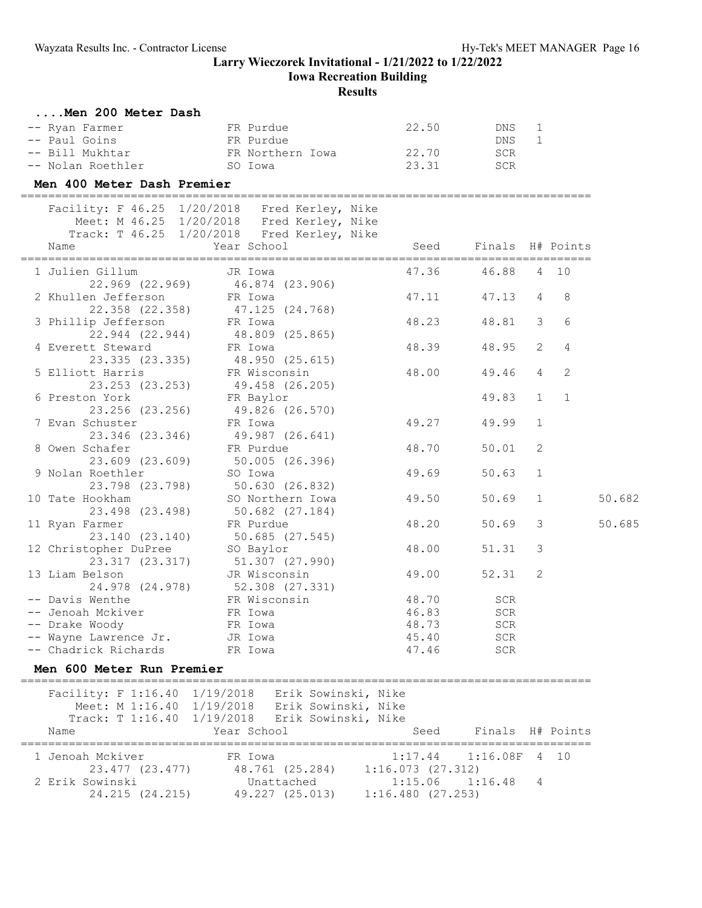# **Iowa Recreation Building**

## **Results**

| Men 200 Meter Dash |                  |       |     |
|--------------------|------------------|-------|-----|
| -- Ryan Farmer     | FR Purdue        | 22.50 | DNS |
| -- Paul Goins      | FR Purdue        |       | DNS |
| -- Bill Mukhtar    | FR Northern Iowa | 22.70 | SCR |
| -- Nolan Roethler  | SO Iowa          | 23.31 | SCR |

#### **Men 400 Meter Dash Premier**

===================================================================================  $FAG25 1/20/2018$  Fred Kerle

| Name                                                                                    | Facility: F 46.25 1/20/2018 Fred Kerley, Nike<br>Meet: M 46.25 1/20/2018 Fred Kerley, Nike<br>Track: T 46.25 1/20/2018 Fred Kerley, Nike<br>Year School |                | Seed Finals H# Points |                |                 |        |
|-----------------------------------------------------------------------------------------|---------------------------------------------------------------------------------------------------------------------------------------------------------|----------------|-----------------------|----------------|-----------------|--------|
| 1 Julien Gillum                       JR Iowa                                   JR Iowa | 22.969 (22.969) 46.874 (23.906)                                                                                                                         | 47.36          | 46.88                 |                | 4 10            |        |
| 2 Khullen Jefferson                                                                     | FR Iowa<br>22.358 (22.358) 47.125 (24.768)                                                                                                              | 47.11          | 47.13                 | $\overline{4}$ | 8               |        |
| 3 Phillip Jefferson FR Iowa                                                             | 22.944 (22.944) 48.809 (25.865)                                                                                                                         | 48.23          | 48.81                 | $\overline{3}$ | $6\overline{6}$ |        |
| 4 Everett Steward                                                                       | FR Iowa<br>23.335 (23.335) 48.950 (25.615)                                                                                                              | 48.39          | 48.95                 | 2              | $\overline{4}$  |        |
| 5 Elliott Harris FR Wisconsin                                                           | 23.253 (23.253) 49.458 (26.205)                                                                                                                         | 48.00          | 49.46                 | $\overline{4}$ | $\overline{2}$  |        |
| 6 Preston York                                                                          | on York<br>23.256 (23.256) FR Baylor<br>23.256 (23.256) 49.826 (26.570)                                                                                 |                | 49.83                 | 1              | $\mathbf{1}$    |        |
| 7 Evan Schuster                                                                         | FR Iowa<br>23.346 (23.346) 49.987 (26.641)                                                                                                              | 49.27          | 49.99<br>50.01        | 1<br>2         |                 |        |
| 8 Owen Schafer FR Purdue<br>9 Nolan Roethler SO Iowa                                    | 23.609 (23.609) 50.005 (26.396)                                                                                                                         | 48.70<br>49.69 | 50.63                 | $\mathbf{1}$   |                 |        |
| 10 Tate Hookham                                                                         | 23.798 (23.798) 50.630 (26.832)<br>SO Northern Iowa                                                                                                     | 49.50          | 50.69                 | $\mathbf{1}$   |                 | 50.682 |
| 11 Ryan Farmer                                                                          | 23.498 (23.498) 50.682 (27.184)<br>FR Purdue                                                                                                            | 48.20          | 50.69                 | $\mathcal{S}$  |                 | 50.685 |
| 12 Christopher DuPree SO Baylor                                                         | 23.140 (23.140) 50.685 (27.545)                                                                                                                         | 48.00          | 51.31                 | $\mathcal{E}$  |                 |        |
| 13 Liam Belson                                                                          | 23.317 (23.317) 51.307 (27.990)<br>JR Wisconsin<br>24.978 (24.978) 52.308 (27.331)                                                                      | 49.00          | 52.31 2               |                |                 |        |
| -- Davis Wenthe                                                                         | FR Wisconsin 48.70                                                                                                                                      |                | SCR                   |                |                 |        |
| -- Jenoah Mckiver Manuel PR Iowa<br>-- Drake Woody                                      | 46.83                                                                                                                                                   |                | SCR<br>SCR            |                |                 |        |
| -- Wayne Lawrence Jr.       JR Iowa<br>-- Chadrick Richards         FR Iowa             | FR Iowa<br>FR Iowa<br>18.73<br>19.73<br>19.73<br>19.73<br>19.73<br>19.73<br>19.73<br>19.73<br>19.73<br>19.73<br>19.73<br>19.73<br>19.746                |                | SCR<br><b>SCR</b>     |                |                 |        |

#### **Men 600 Meter Run Premier**

=================================================================================== Facility: F 1:16.40 1/19/2018 Erik Sowinski, Nike Meet: M 1:16.40 1/19/2018 Erik Sowinski, Nike Track: T 1:16.40 1/19/2018 Erik Sowinski, Nike Name The Year School Seed Finals H# Points =================================================================================== 1 Jenoah Mckiver FR Iowa 1:17.44 1:16.08F 4 10 23.477 (23.477) 48.761 (25.284) 1:16.073 (27.312) 2 Erik Sowinski Unattached 1:15.06 1:16.48 4 24.215 (24.215) 49.227 (25.013) 1:16.480 (27.253)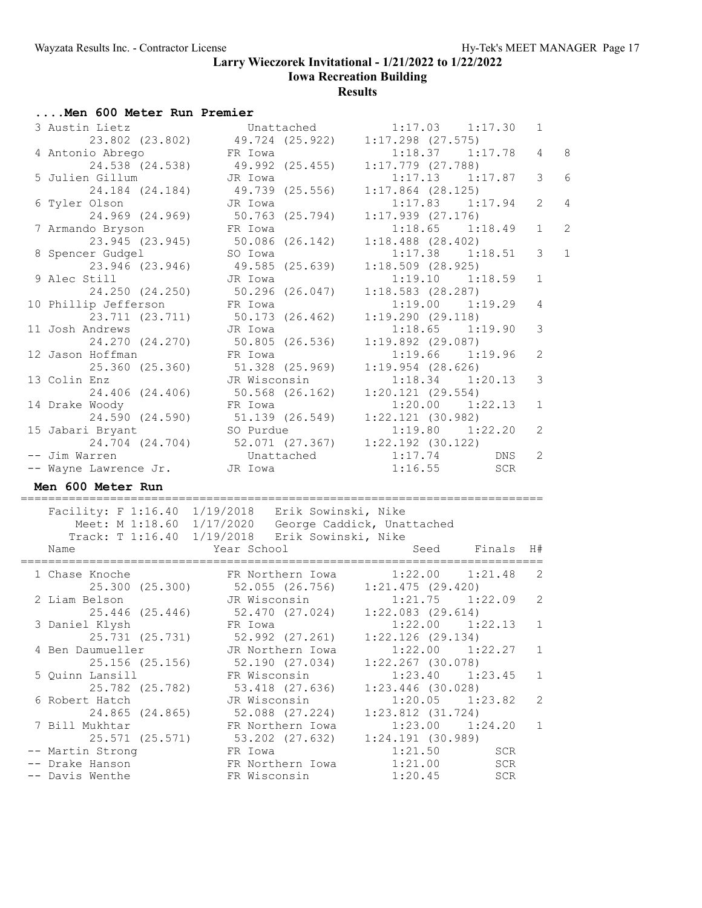**Iowa Recreation Building**

| Men 600 Meter Run Premier |                                                      |                       |              |
|---------------------------|------------------------------------------------------|-----------------------|--------------|
| 3 Austin Lietz            | Unattached                                           | $1:17.03$ $1:17.30$   | 1            |
| 23.802 (23.802)           | 49.724 (25.922)                                      | $1:17.298$ $(27.575)$ |              |
| 4 Antonio Abrego          | FR Iowa                                              | $1:18.37$ $1:17.78$   | 4            |
| 24.538 (24.538)           | 49.992 (25.455)                                      | $1:17.779$ $(27.788)$ |              |
| 5 Julien Gillum           | JR Iowa                                              | $1:17.13$ $1:17.87$   | 3            |
| 24.184 (24.184)           | 49.739 (25.556)                                      | $1:17.864$ (28.125)   |              |
| 6 Tyler Olson             | JR Iowa                                              | $1:17.83$ $1:17.94$   | 2            |
| 24.969 (24.969)           | 50.763 (25.794)                                      | $1:17.939$ $(27.176)$ |              |
| 7 Armando Bryson          | FR Iowa                                              | $1:18.65$ $1:18.49$   | $\mathbf{1}$ |
| 23.945 (23.945)           | 50.086 (26.142)                                      | $1:18.488$ $(28.402)$ |              |
| 8 Spencer Gudgel          | SO Iowa                                              | $1:17.38$ $1:18.51$   | 3            |
| 23.946 (23.946)           | 49.585 (25.639)                                      | $1:18.509$ (28.925)   |              |
| 9 Alec Still              | JR Iowa                                              | $1:19.10$ $1:18.59$   | $\mathbf 1$  |
| 24.250 (24.250)           | $50.296$ $(26.047)$                                  | $1:18.583$ (28.287)   |              |
| 10 Phillip Jefferson      | FR Iowa                                              | $1:19.00$ $1:19.29$   | 4            |
| 23.711 (23.711)           | 50.173 (26.462)                                      | 1:19.290(29.118)      |              |
| 11 Josh Andrews           | JR Iowa                                              | $1:18.65$ $1:19.90$   | 3            |
| 24.270 (24.270)           |                                                      | $1:19.892$ (29.087)   |              |
| 12 Jason Hoffman          | 50.805 (26.536)<br>FR Iowa                           | $1:19.66$ $1:19.96$   | 2            |
| 25.360 (25.360)           | 51.328 (25.969)                                      |                       |              |
|                           | JR Wisconsin                                         | $1:19.954$ $(28.626)$ |              |
| 13 Colin Enz              |                                                      | $1:18.34$ $1:20.13$   | 3            |
| 24.406 (24.406)           | 50.568 (26.162)                                      | $1:20.121$ $(29.554)$ |              |
| 14 Drake Woody            | FR Iowa                                              | $1:20.00$ $1:22.13$   | $\mathbf 1$  |
| 24.590 (24.590)           | 51.139 (26.549)                                      | $1:22.121$ (30.982)   |              |
| 15 Jabari Bryant          | SO Purdue                                            | $1:19.80$ $1:22.20$   | 2            |
| 24.704 (24.704)           | 52.071 (27.367)                                      | $1:22.192$ (30.122)   |              |
| -- Jim Warren             | Unattached                                           | 1:17.74<br>DNS        | 2            |
| -- Wayne Lawrence Jr.     | JR Iowa                                              | 1:16.55<br>SCR        |              |
| Men 600 Meter Run         |                                                      |                       |              |
|                           | Facility: F 1:16.40 1/19/2018 Erik Sowinski, Nike    |                       |              |
|                           | Meet: M 1:18.60 1/17/2020 George Caddick, Unattached |                       |              |
|                           | Track: T 1:16.40 1/19/2018 Erik Sowinski, Nike       |                       |              |
| Name                      | Year School                                          | Seed Finals H#        |              |
|                           |                                                      |                       |              |
| 1 Chase Knoche            | FR Northern Iowa                                     | 1:22.00<br>1:21.48    | 2            |
|                           | 25.300 (25.300) 52.055 (26.756) 1:21.475 (29.420)    |                       |              |
| 2 Liam Belson             | JR Wisconsin                                         | $1:21.75$ $1:22.09$   | 2            |
| 25.446 (25.446)           | 52.470 (27.024)                                      | $1:22.083$ $(29.614)$ |              |
| 3 Daniel Klysh            | FR Iowa                                              | 1:22.00<br>1:22.13    | 1            |
| 25.731 (25.731)           | 52.992 (27.261)                                      | $1:22.126$ (29.134)   |              |
| 4 Ben Daumueller          | JR Northern Iowa                                     | 1:22.27<br>1:22.00    | 1            |
| 25.156 (25.156)           | 52.190 (27.034)                                      | $1:22.267$ (30.078)   |              |
| 5 Quinn Lansill           | FR Wisconsin                                         | 1:23.40<br>1:23.45    | 1            |
| 25.782 (25.782)           | 53.418 (27.636)                                      | $1:23.446$ (30.028)   |              |
| 6 Robert Hatch            | JR Wisconsin                                         | 1:20.05<br>1:23.82    | 2            |
| 24.865 (24.865)           | 52.088 (27.224)                                      | $1:23.812$ $(31.724)$ |              |
| 7 Bill Mukhtar            | FR Northern Iowa                                     | 1:23.00<br>1:24.20    | 1            |
| 25.571 (25.571)           | 53.202 (27.632)                                      | $1:24.191$ (30.989)   |              |
| -- Martin Strong          | FR Iowa                                              | 1:21.50<br><b>SCR</b> |              |
| -- Drake Hanson           | FR Northern Iowa                                     | 1:21.00<br>SCR        |              |
| -- Davis Wenthe           | FR Wisconsin                                         | 1:20.45<br>SCR        |              |
|                           |                                                      |                       |              |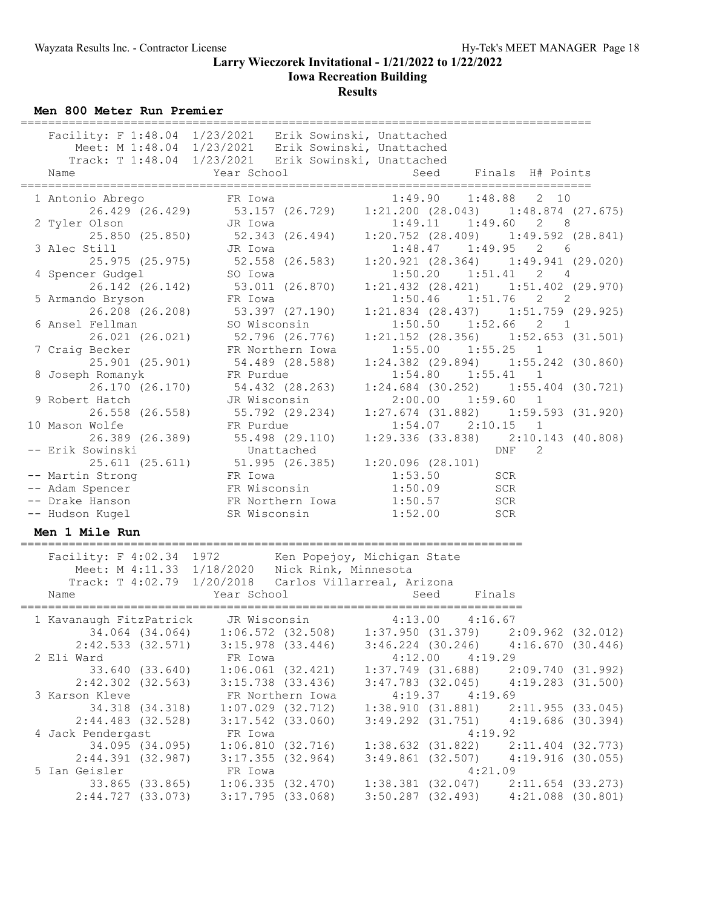## **Larry Wieczorek Invitational - 1/21/2022 to 1/22/2022 Iowa Recreation Building**

### **Results**

**Men 800 Meter Run Premier**

| Name                                 | Facility: F 1:48.04 1/23/2021 Erik Sowinski, Unattached<br>Meet: M 1:48.04 1/23/2021 Erik Sowinski, Unattached<br>Track: T 1:48.04 1/23/2021 Erik Sowinski, Unattached<br>Year School | Seed                  | Finals H# Points                                                                                      |
|--------------------------------------|---------------------------------------------------------------------------------------------------------------------------------------------------------------------------------------|-----------------------|-------------------------------------------------------------------------------------------------------|
| 1 Antonio Abrego                     | FR Iowa<br>26.429 (26.429) 53.157 (26.729)                                                                                                                                            | 1:49.90               | 1:48.88<br>2, 10<br>$1:21.200$ (28.043) $1:48.874$ (27.675)                                           |
| 2 Tyler Olson<br>25.850 (25.850)     | JR Iowa<br>52.343 (26.494)                                                                                                                                                            |                       | $1:49.11$ $1:49.60$<br>$2^{\circ}$<br>8<br>$1:20.752$ (28.409) $1:49.592$ (28.841)                    |
| 3 Alec Still<br>25.975 (25.975)      | JR Iowa<br>$52.558$ (26.583)<br>SO Tours                                                                                                                                              | 1:48.47               | $1:49.95$ 2 6<br>$1:20.921$ (28.364) $1:49.941$ (29.020)                                              |
| 4 Spencer Gudgel<br>26.142 (26.142)  | SO Iowa<br>53.011 (26.870)                                                                                                                                                            |                       | $1:50.20$ $1:51.41$ 2 4<br>$1:21.432$ (28.421) $1:51.402$ (29.970)                                    |
| 5 Armando Bryson<br>26.208 (26.208)  | FR Iowa<br>53.397 (27.190)                                                                                                                                                            |                       | $1:50.46$ $1:51.76$<br>$2 \left( \frac{1}{2} \right)$<br>2<br>$1:21.834$ (28.437) $1:51.759$ (29.925) |
| 6 Ansel Fellman<br>26.021 (26.021)   | SO Wisconsin<br>52.796 (26.776)                                                                                                                                                       |                       | $1:50.50$ $1:52.66$<br>2<br>$\overline{1}$<br>$1:21.152$ (28.356) $1:52.653$ (31.501)                 |
| 7 Craig Becker<br>25.901 (25.901)    | FR Northern Iowa<br>54.489 (28.588)                                                                                                                                                   |                       | $1:55.00$ $1:55.25$ 1<br>$1:24.382$ (29.894) $1:55.242$ (30.860)                                      |
| 8 Joseph Romanyk<br>26.170 (26.170)  | FR Purdue<br>54.432 (28.263)                                                                                                                                                          |                       | $1:54.80$ $1:55.41$<br>1<br>$1:24.684$ (30.252) $1:55.404$ (30.721)                                   |
| 9 Robert Hatch<br>26.558 (26.558)    | JR Wisconsin<br>55.792 (29.234)                                                                                                                                                       | 2:00.00               | 1:59.60 1<br>$1:27.674$ (31.882) $1:59.593$ (31.920)                                                  |
| 10 Mason Wolfe<br>26.389 (26.389)    | FR Purdue<br>55.498 (29.110)                                                                                                                                                          |                       | $1:54.07$ $2:10.15$ 1<br>$1:29.336$ (33.838) $2:10.143$ (40.808)                                      |
| -- Erik Sowinski                     | Unattached<br>25.611 (25.611) 51.995 (26.385) 1:20.096 (28.101)                                                                                                                       |                       | DNF<br>2                                                                                              |
| -- Martin Strong                     |                                                                                                                                                                                       | 1:53.50               | SCR                                                                                                   |
| -- Adam Spencer                      | FR Iowa<br>FR Wisconsin<br>FR Northern Iowa                                                                                                                                           | 1:50.09               | SCR                                                                                                   |
| -- Drake Hanson                      |                                                                                                                                                                                       | 1:50.57               | SCR                                                                                                   |
| -- Hudson Kugel                      | SR Wisconsin                                                                                                                                                                          | 1:52.00               | SCR                                                                                                   |
| Men 1 Mile Run                       |                                                                                                                                                                                       |                       |                                                                                                       |
|                                      | Facility: F 4:02.34 1972 Ken Popejoy, Michigan State<br>Meet: M 4:11.33 1/18/2020 Nick Rink, Minnesota<br>Track: T 4:02.79 1/20/2018 Carlos Villarreal, Arizona                       |                       |                                                                                                       |
| Name                                 | Year School                                                                                                                                                                           | Seed                  | Finals                                                                                                |
| 1 Kavanaugh FitzPatrick JR Wisconsin |                                                                                                                                                                                       |                       | $4:13.00$ $4:16.67$<br>$34.064$ (34.064) $1:06.572$ (32.508) $1:37.950$ (31.379) $2:09.962$ (32.012)  |
| 2:42.533(32.571)                     | $3:15.978$ $(33.446)$                                                                                                                                                                 |                       | $3:46.224$ (30.246) $4:16.670$ (30.446)                                                               |
| 2 Eli Ward                           | FR Iowa                                                                                                                                                                               | 4:12.00               | 4:19.29                                                                                               |
| 33.640 (33.640)                      | $1:06.061$ $(32.421)$                                                                                                                                                                 | $1:37.749$ $(31.688)$ | 2:09.740 (31.992)                                                                                     |
| $2:42.302$ $(32.563)$                | $3:15.738$ $(33.436)$                                                                                                                                                                 |                       | $3:47.783$ (32.045) $4:19.283$ (31.500)                                                               |
| 3 Karson Kleve                       | FR Northern Iowa                                                                                                                                                                      |                       | $4:19.37$ $4:19.69$                                                                                   |
| 34.318 (34.318)                      | $1:07.029$ $(32.712)$                                                                                                                                                                 |                       | $1:38.910$ (31.881) $2:11.955$ (33.045)                                                               |
| 2:44.483 (32.528)                    | $3:17.542$ (33.060)                                                                                                                                                                   |                       | $3:49.292$ (31.751) $4:19.686$ (30.394)                                                               |
| 4 Jack Pendergast                    | FR Iowa                                                                                                                                                                               |                       | 4:19.92                                                                                               |
| 34.095 (34.095)                      | 1:06.810(32.716)                                                                                                                                                                      | $1:38.632$ $(31.822)$ | 2:11.404 (32.773)                                                                                     |
| 2:44.391 (32.987)                    | 3:17.355(32.964)                                                                                                                                                                      |                       | $3:49.861$ (32.507) $4:19.916$ (30.055)                                                               |
| 5 Ian Geisler                        | FR Iowa                                                                                                                                                                               |                       | 4:21.09                                                                                               |
| 33.865 (33.865)                      |                                                                                                                                                                                       |                       | $1:06.335$ (32.470) $1:38.381$ (32.047) $2:11.654$ (33.273)                                           |

2:44.727 (33.073) 3:17.795 (33.068) 3:50.287 (32.493) 4:21.088 (30.801)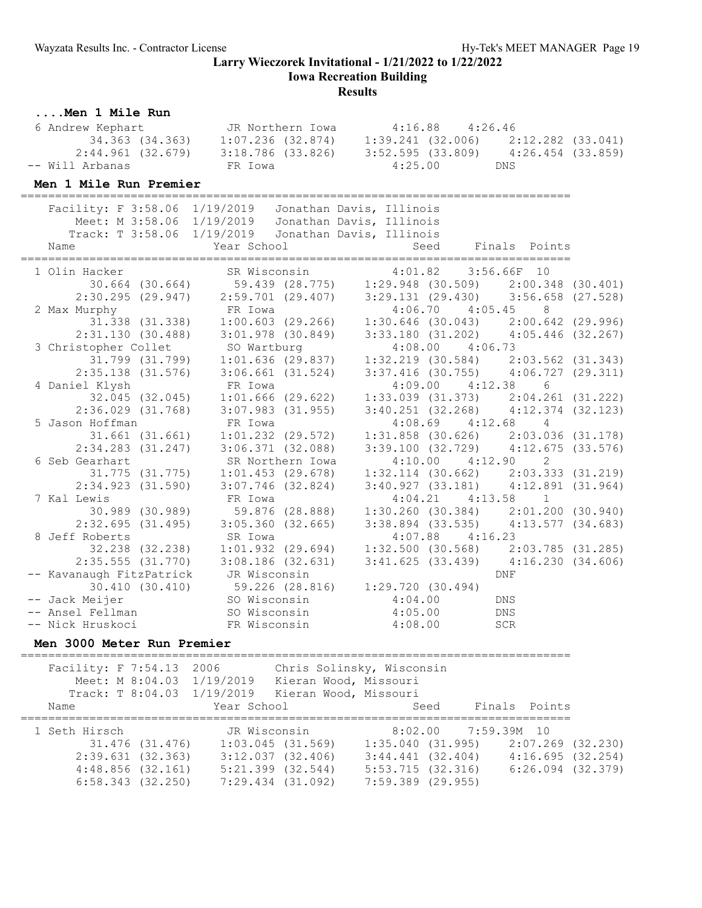**Iowa Recreation Building**

#### **Results**

### **....Men 1 Mile Run**

| 6 Andrew Kephart  | JR Northern Iowa  | $4:16.88$ $4:26.46$ |                   |
|-------------------|-------------------|---------------------|-------------------|
| 34.363 (34.363)   | 1:07.236 (32.874) | 1:39.241 (32.006)   | 2:12.282 (33.041) |
| 2:44.961 (32.679) | 3:18.786 (33.826) | 3:52.595 (33.809)   | 4:26.454 (33.859) |
| -- Will Arbanas   | FR Iowa           | 4:25.00             | DNS               |

#### **Men 1 Mile Run Premier**

================================================================================

| Facility: F 3:58.06 1/19/2019                                                                                         |                                             | Jonathan Davis, Illinois                                                      |                       |
|-----------------------------------------------------------------------------------------------------------------------|---------------------------------------------|-------------------------------------------------------------------------------|-----------------------|
| Meet: M 3:58.06 1/19/2019                                                                                             |                                             | Jonathan Davis, Illinois                                                      |                       |
| Track: T 3:58.06 1/19/2019                                                                                            |                                             | Jonathan Davis, Illinois                                                      |                       |
| Name                                                                                                                  | Year School                                 |                                                                               | Seed Finals Points    |
|                                                                                                                       |                                             |                                                                               |                       |
| 1 Olin Hacker SR Wisconsin 4:01.82 3:56.66F 10<br>30.664 (30.664) 59.439 (28.775) 1:29.948 (30.509) 2:00.348 (30.401) |                                             |                                                                               |                       |
|                                                                                                                       |                                             |                                                                               |                       |
|                                                                                                                       |                                             | 2:30.295 (29.947) 2:59.701 (29.407) 3:29.131 (29.430) 3:56.658 (27.528)       |                       |
| 2 Max Murphy FR Iowa                                                                                                  |                                             | $4:06.70$ $4:05.45$ 8                                                         |                       |
|                                                                                                                       |                                             | $31.338$ (31.338) $1:00.603$ (29.266) $1:30.646$ (30.043) $2:00.642$ (29.996) |                       |
|                                                                                                                       |                                             | $2:31.130$ (30.488) 3:01.978 (30.849) 3:33.180 (31.202) 4:05.446 (32.267)     |                       |
| 3 Christopher Collet SO Wartburg                                                                                      |                                             | $4:08.00$ $4:06.73$                                                           |                       |
|                                                                                                                       |                                             | 31.799 (31.799) 1:01.636 (29.837) 1:32.219 (30.584) 2:03.562 (31.343)         |                       |
|                                                                                                                       |                                             | 2:35.138 (31.576) 3:06.661 (31.524) 3:37.416 (30.755) 4:06.727 (29.311)       |                       |
| 4 Daniel Klysh                                                                                                        | FR Iowa                                     |                                                                               | $4:09.00$ $4:12.38$ 6 |
|                                                                                                                       |                                             | $32.045$ (32.045) 1:01.666 (29.622) 1:33.039 (31.373) 2:04.261 (31.222)       |                       |
|                                                                                                                       | $2:36.029$ $(31.768)$ $3:07.983$ $(31.955)$ | $3:40.251$ (32.268) $4:12.374$ (32.123)                                       |                       |
|                                                                                                                       |                                             | $4:08.69$ $4:12.68$ $4$                                                       |                       |
|                                                                                                                       |                                             | 31.661 (31.661) 1:01.232 (29.572) 1:31.858 (30.626) 2:03.036 (31.178)         |                       |
|                                                                                                                       |                                             | $2:34.283 (31.247) 3:06.371 (32.088) 3:39.100 (32.729) 4:12.675 (33.576)$     |                       |
| 6 Seb Gearhart                                                                                                        | SR Northern Iowa                            | $4:10.00$ $4:12.90$ 2                                                         |                       |
|                                                                                                                       |                                             | 31.775 (31.775) 1:01.453 (29.678) 1:32.114 (30.662) 2:03.333 (31.219)         |                       |
|                                                                                                                       |                                             | 2:34.923 (31.590) 3:07.746 (32.824) 3:40.927 (33.181) 4:12.891 (31.964)       |                       |
| 7 Kal Lewis                                                                                                           | FR Iowa                                     |                                                                               | $4:04.21$ $4:13.58$ 1 |
|                                                                                                                       |                                             | 30.989 (30.989) 59.876 (28.888) 1:30.260 (30.384) 2:01.200 (30.940)           |                       |
|                                                                                                                       |                                             | 2:32.695 (31.495) 3:05.360 (32.665) 3:38.894 (33.535) 4:13.577 (34.683)       |                       |
| 8 Jeff Roberts                                                                                                        | SR Iowa                                     | $4:07.88$ $4:16.23$                                                           |                       |
|                                                                                                                       |                                             | 32.238 (32.238) 1:01.932 (29.694) 1:32.500 (30.568) 2:03.785 (31.285)         |                       |
|                                                                                                                       |                                             | 2:35.555 (31.770) 3:08.186 (32.631) 3:41.625 (33.439) 4:16.230 (34.606)       |                       |
| -- Kavanaugh FitzPatrick JR Wisconsin                                                                                 |                                             |                                                                               | DNF                   |
|                                                                                                                       |                                             | 30.410 (30.410) 59.226 (28.816) 1:29.720 (30.494)                             |                       |
|                                                                                                                       |                                             |                                                                               |                       |
|                                                                                                                       |                                             |                                                                               |                       |
| -- Nick Hruskoci                                                                                                      |                                             | FR Wisconsin 4:08.00 SCR                                                      |                       |

#### **Men 3000 Meter Run Premier**

================================================================================ Facility: F 7:54.13 2006 Chris Solinsky, Wisconsin Meet: M 8:04.03 1/19/2019 Kieran Wood, Missouri Track: T 8:04.03 1/19/2019 Kieran Wood, Missouri Name Sear School Seed Finals Points ================================================================================ 1 Seth Hirsch JR Wisconsin 8:02.00 7:59.39M 10 31.476 (31.476) 1:03.045 (31.569) 1:35.040 (31.995) 2:07.269 (32.230) 2:39.631 (32.363) 3:12.037 (32.406) 3:44.441 (32.404) 4:16.695 (32.254) 4:48.856 (32.161) 5:21.399 (32.544) 5:53.715 (32.316) 6:26.094 (32.379) 6:58.343 (32.250) 7:29.434 (31.092) 7:59.389 (29.955)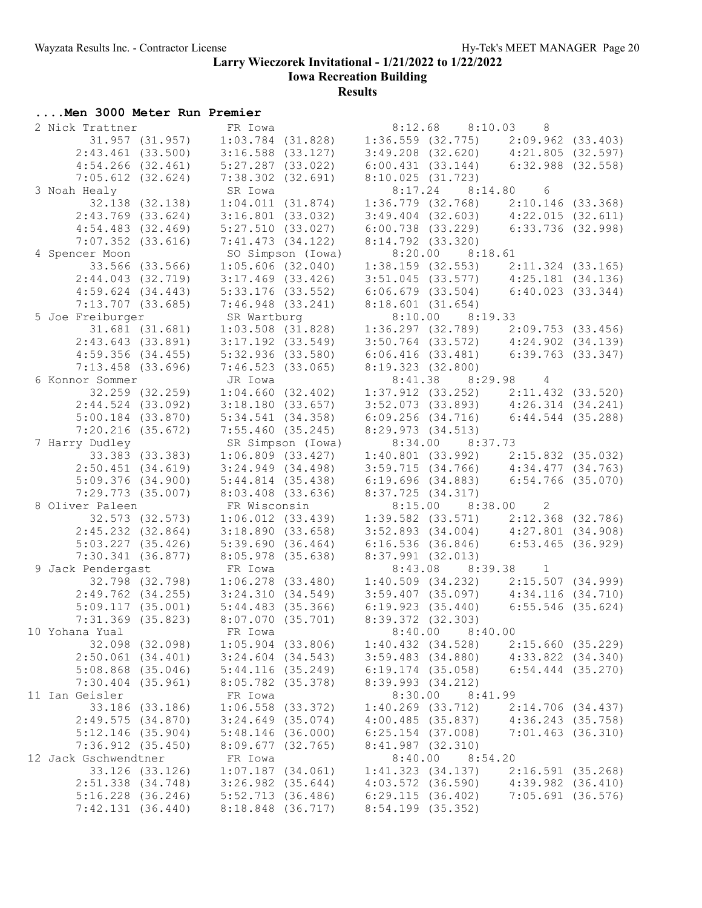**Iowa Recreation Building**

**Results**

## **....Men 3000 Meter Run Premier**

| 2 Nick Trattner       | FR Iowa                           | 8:12.68 8:10.03 8                                                          |                       |
|-----------------------|-----------------------------------|----------------------------------------------------------------------------|-----------------------|
|                       | 31.957 (31.957) 1:03.784 (31.828) | $1:36.559$ (32.775) 2:09.962 (33.403)                                      |                       |
| $2:43.461$ (33.500)   | $3:16.588$ (33.127)               | $3:49.208$ (32.620) $4:21.805$ (32.597)                                    |                       |
| $4:54.266$ $(32.461)$ | $5:27.287$ (33.022)               | $6:00.431$ (33.144) $6:32.988$ (32.558)                                    |                       |
| $7:05.612$ (32.624)   | $7:38.302$ $(32.691)$             | 8:10.025(31.723)                                                           |                       |
| 3 Noah Healy          | SR Iowa                           | $8:17.24$ $8:14.80$ 6                                                      |                       |
| 32.138 (32.138)       | 1:04.011(31.874)                  | $1:36.779$ (32.768) 2:10.146 (33.368)                                      |                       |
| $2:43.769$ (33.624)   | $3:16.801$ (33.032)               | $3:49.404$ (32.603) $4:22.015$ (32.611)                                    |                       |
| $4:54.483$ $(32.469)$ | 5:27.510(33.027)                  | $6:00.738$ (33.229) $6:33.736$ (32.998)                                    |                       |
| $7:07.352$ $(33.616)$ | $7:41.473$ $(34.122)$             | $8:14.792$ $(33.320)$                                                      |                       |
| 4 Spencer Moon        | SO Simpson (Iowa)                 | 8:20.00 8:18.61                                                            |                       |
| 33.566 (33.566)       | $1:05.606$ (32.040)               |                                                                            |                       |
| $2:44.043$ (32.719)   | $3:17.469$ $(33.426)$             | 1:38.159 (32.553) 2:11.324 (33.165)<br>3:51.045 (33.577) 4:25.181 (34.136) |                       |
| $4:59.624$ $(34.443)$ | $5:33.176$ (33.552)               | $6:06.679$ (33.504) $6:40.023$ (33.344)                                    |                       |
|                       |                                   |                                                                            |                       |
| $7:13.707$ (33.685)   | $7:46.948$ $(33.241)$             | 8:18.601(31.654)                                                           |                       |
| 5 Joe Freiburger      | SR Wartburg                       | 8:10.00 8:19.33                                                            |                       |
| 31.681 (31.681)       | $1:03.508$ (31.828)               | $1:36.297$ (32.789) $2:09.753$ (33.456)                                    |                       |
| 2:43.643(33.891)      | $3:17.192$ $(33.549)$             | 3:50.764 (33.572) 4:24.902 (34.139)<br>6:06.416 (33.481) 6:39.763 (33.347) |                       |
| 4:59.356(34.455)      | 5:32.936(33.580)                  |                                                                            |                       |
| $7:13.458$ (33.696)   | 7:46.523(33.065)                  | 8:19.323(32.800)                                                           |                       |
| 6 Konnor Sommer       | JR Iowa                           | 8:41.38 8:29.98 4                                                          |                       |
| 32.259 (32.259)       | 1:04.660(32.402)                  | $1:37.912$ (33.252) $2:11.432$ (33.520)                                    |                       |
| $2:44.524$ (33.092)   | $3:18.180$ $(33.657)$             | $3:52.073$ (33.893) $4:26.314$ (34.241)                                    |                       |
| $5:00.184$ $(33.870)$ | $5:34.541$ $(34.358)$             | $6:09.256$ (34.716) $6:44.544$ (35.288)                                    |                       |
| $7:20.216$ (35.672)   | 7:55.460(35.245)                  | 8:29.973(34.513)                                                           |                       |
| 7 Harry Dudley        | SR Simpson (Iowa)                 | 8:34.00 8:37.73                                                            |                       |
| 33.383 (33.383)       | $1:06.809$ $(33.427)$             | $1:40.801$ (33.992) $2:15.832$ (35.032)                                    |                       |
| $2:50.451$ (34.619)   | $3:24.949$ $(34.498)$             | $3:59.715$ (34.766) $4:34.477$ (34.763)                                    |                       |
| $5:09.376$ (34.900)   | 5:44.814(35.438)                  | 6:19.696 (34.883) 6:54.766 (35.070)                                        |                       |
| $7:29.773$ (35.007)   | $8:03.408$ $(33.636)$             | 8:37.725(34.317)                                                           |                       |
| 8 Oliver Paleen       | FR Wisconsin                      | 8:15.00 8:38.00 2                                                          |                       |
| 32.573 (32.573)       | $1:06.012$ $(33.439)$             | $1:39.582$ (33.571) $2:12.368$ (32.786)                                    |                       |
| $2:45.232$ $(32.864)$ | 3:18.890(33.658)                  | $3:52.893$ (34.004) $4:27.801$ (34.908)                                    |                       |
| $5:03.227$ $(35.426)$ | 5:39.690(36.464)                  | $6:16.536$ (36.846) $6:53.465$ (36.929)                                    |                       |
| 7:30.341(36.877)      | 8:05.978 (35.638)                 | 8:37.991(32.013)                                                           |                       |
| 9 Jack Pendergast     | FR Iowa                           | 8:43.08 8:39.38 1                                                          |                       |
| 32.798 (32.798)       | $1:06.278$ (33.480)               | $1:40.509$ (34.232) $2:15.507$ (34.999)                                    |                       |
| $2:49.762$ $(34.255)$ | 3:24.310(34.549)                  | $3:59.407$ (35.097) $4:34.116$ (34.710)                                    |                       |
| 5:09.117(35.001)      | $5:44.483$ (35.366)               | $6:19.923$ (35.440) $6:55.546$ (35.624)                                    |                       |
| $7:31.369$ $(35.823)$ | 8:07.070 (35.701)                 | $8:39.372$ $(32.303)$                                                      |                       |
| 10 Yohana Yual        | FR Iowa                           | $8:40.00$ $8:40.00$                                                        |                       |
| 32.098 (32.098)       | $1:05.904$ (33.806)               | $1:40.432$ $(34.528)$                                                      | 2:15.660(35.229)      |
| $2:50.061$ $(34.401)$ | $3:24.604$ $(34.543)$             | $3:59.483$ $(34.880)$                                                      | $4:33.822$ $(34.340)$ |
| $5:08.868$ (35.046)   | 5:44.116(35.249)                  | $6:19.174$ (35.058)                                                        | $6:54.444$ $(35.270)$ |
| $7:30.404$ $(35.961)$ | 8:05.782 (35.378)                 | 8:39.993 (34.212)                                                          |                       |
| 11 Ian Geisler        | FR Iowa                           | 8:30.00<br>8:41.99                                                         |                       |
| 33.186 (33.186)       | $1:06.558$ (33.372)               | $1:40.269$ $(33.712)$                                                      | 2:14.706 (34.437)     |
| 2:49.575(34.870)      | $3:24.649$ (35.074)               | 4:00.485(35.837)                                                           | 4:36.243 (35.758)     |
| $5:12.146$ (35.904)   | $5:48.146$ (36.000)               | $6:25.154$ (37.008)                                                        | $7:01.463$ (36.310)   |
| $7:36.912$ $(35.450)$ | $8:09.677$ (32.765)               | 8:41.987 (32.310)                                                          |                       |
| 12 Jack Gschwendtner  | FR Iowa                           | 8:40.00<br>8:54.20                                                         |                       |
| 33.126 (33.126)       | $1:07.187$ $(34.061)$             | 1:41.323(34.137)                                                           | $2:16.591$ (35.268)   |
| 2:51.338 (34.748)     | $3:26.982$ $(35.644)$             | $4:03.572$ (36.590)                                                        | $4:39.982$ $(36.410)$ |
| $5:16.228$ (36.246)   | $5:52.713$ (36.486)               | 6:29.115(36.402)                                                           | $7:05.691$ (36.576)   |
| 7:42.131(36.440)      | 8:18.848 (36.717)                 | 8:54.199 (35.352)                                                          |                       |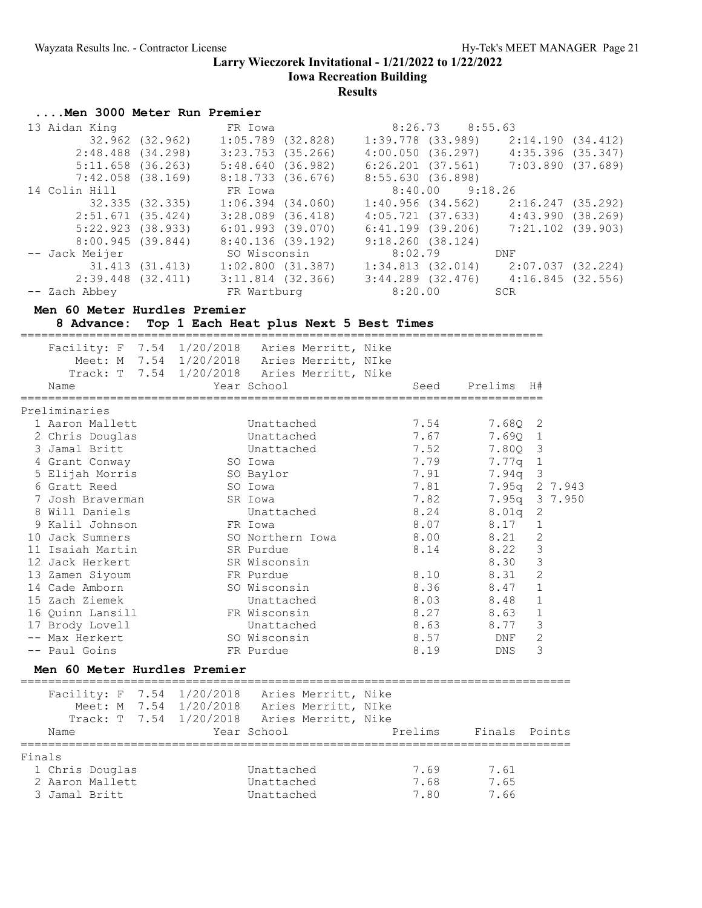**Iowa Recreation Building**

## **Results**

### **....Men 3000 Meter Run Premier**

| 13 Aidan King         |                 | FR Iowa               | 8:26.73 8:55.63       |                       |
|-----------------------|-----------------|-----------------------|-----------------------|-----------------------|
|                       | 32.962 (32.962) | $1:05.789$ (32.828)   | 1:39.778 (33.989)     | 2:14.190(34.412)      |
| $2:48.488$ $(34.298)$ |                 | $3:23.753$ (35.266)   | $4:00.050$ $(36.297)$ | $4:35.396$ $(35.347)$ |
| $5:11.658$ (36.263)   |                 | 5:48.640(36.982)      | 6:26.201 (37.561)     | 7:03.890 (37.689)     |
| $7:42.058$ $(38.169)$ |                 | 8:18.733(36.676)      | 8:55.630(36.898)      |                       |
| 14 Colin Hill         |                 | FR Iowa               | $8:40.00$ $9:18.26$   |                       |
|                       | 32.335 (32.335) | $1:06.394$ $(34.060)$ | 1:40.956 (34.562)     | 2:16.247 (35.292)     |
| 2:51.671(35.424)      |                 | $3:28.089$ $(36.418)$ | 4:05.721 (37.633)     | 4:43.990(38.269)      |
| $5:22.923$ $(38.933)$ |                 | $6:01.993$ (39.070)   | 6:41.199 (39.206)     | 7:21.102 (39.903)     |
| 8:00.945(39.844)      |                 | 8:40.136(39.192)      | 9:18.260(38.124)      |                       |
| -- Jack Meijer        |                 | SO Wisconsin          | 8:02.79               | DNF                   |
|                       | 31.413 (31.413) | 1:02.800(31.387)      | $1:34.813$ (32.014)   | 2:07.037 (32.224)     |
| 2:39.448 (32.411)     |                 | $3:11.814$ (32.366)   | $3:44.289$ (32.476)   | 4:16.845(32.556)      |
| -- Zach Abbey         |                 | FR Wartburg           | 8:20.00               | SCR                   |

### **Men 60 Meter Hurdles Premier**

**8 Advance: Top 1 Each Heat plus Next 5 Best Times**

|        |                                                        | ========== |                                                                                                          | ============================ |               |                |
|--------|--------------------------------------------------------|------------|----------------------------------------------------------------------------------------------------------|------------------------------|---------------|----------------|
|        | Facility: F 7.54 1/20/2018 Aries Merritt, Nike<br>Name |            | Meet: M 7.54 1/20/2018 Aries Merritt, NIke<br>Track: T 7.54 1/20/2018 Aries Merritt, Nike<br>Year School | Seed                         | Prelims       | H#             |
|        |                                                        |            |                                                                                                          | ------------------           |               |                |
|        | Preliminaries                                          |            |                                                                                                          |                              |               |                |
|        | 1 Aaron Mallett                                        |            | Unattached                                                                                               | 7.54                         | $7.68Q$ 2     |                |
|        | 2 Chris Douglas                                        |            | Unattached                                                                                               | 7.67                         | 7.690 1       |                |
|        | 3 Jamal Britt                                          |            | Unattached                                                                                               | 7.52                         | 7.80Q 3       |                |
|        | 4 Grant Conway                                         | SO Iowa    |                                                                                                          | 7.79                         | 7.77q 1       |                |
|        | 5 Elijah Morris                                        |            | SO Baylor                                                                                                | 7.91                         | $7.94q$ 3     |                |
|        | 6 Gratt Reed                                           |            | SO Iowa                                                                                                  | 7.81                         |               | 7.95q 2 7.943  |
|        | 7 Josh Braverman                                       |            | SR Iowa                                                                                                  | 7.82                         |               | 7.95q 3 7.950  |
|        | 8 Will Daniels                                         |            | Unattached                                                                                               | 8.24                         | $8.01q$ 2     |                |
|        | 9 Kalil Johnson                                        |            | FR Iowa                                                                                                  | 8.07                         | 8.17          | $1\,$          |
|        | 10 Jack Sumners                                        |            | SO Northern Iowa                                                                                         | 8.00                         | 8.21          | $\mathbf{2}$   |
|        | 11 Isaiah Martin                                       |            | SR Purdue                                                                                                | 8.14                         | 8.22          | $\mathcal{S}$  |
|        | 12 Jack Herkert                                        |            | SR Wisconsin                                                                                             |                              | 8.30          | $\mathfrak{Z}$ |
|        | 13 Zamen Siyoum                                        |            | FR Purdue                                                                                                | 8.10                         | 8.31          | $\overline{c}$ |
|        | 14 Cade Amborn                                         |            | SO Wisconsin                                                                                             | 8.36                         | 8.47          | $\mathbf{1}$   |
|        | 15 Zach Ziemek                                         |            | Unattached                                                                                               | 8.03                         | 8.48          | $\mathbf{1}$   |
|        | 16 Ouinn Lansill                                       |            | FR Wisconsin                                                                                             | 8.27                         | 8.63          | $\mathbf{1}$   |
|        | 17 Brody Lovell                                        |            | Unattached                                                                                               | 8.63                         | 8.77          | $\mathcal{S}$  |
|        | -- Max Herkert                                         |            | SO Wisconsin                                                                                             | 8.57                         | DNF           | $\mathbf{2}$   |
|        | -- Paul Goins                                          |            | FR Purdue                                                                                                | 8.19                         | <b>DNS</b>    | 3              |
|        | Men 60 Meter Hurdles Premier                           |            |                                                                                                          |                              |               |                |
|        | Facility: F 7.54 1/20/2018 Aries Merritt, Nike         |            |                                                                                                          |                              |               |                |
|        |                                                        |            | Meet: M 7.54 1/20/2018 Aries Merritt, NIke                                                               |                              |               |                |
|        |                                                        |            | Track: T 7.54 1/20/2018 Aries Merritt, Nike                                                              |                              |               |                |
|        | Name                                                   |            | Year School                                                                                              | Prelims                      | Finals Points |                |
| Finals |                                                        |            |                                                                                                          |                              |               |                |
|        | 1 Chris Douglas                                        |            | Unattached                                                                                               | 7.69                         | 7.61          |                |
|        | 2 Aaron Mallett                                        |            | Unattached                                                                                               | 7.68                         | 7.65          |                |

3 Jamal Britt Unattached 7.80 7.66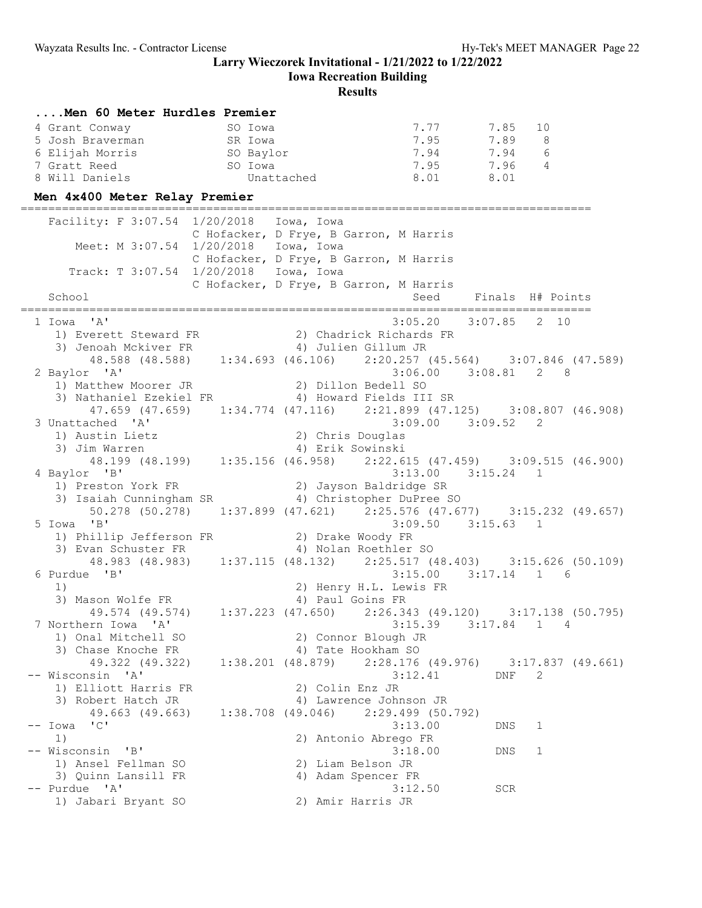**Iowa Recreation Building**

| Men 60 Meter Hurdles Premier          |                                                                                                                                                  |                                                                 |                                         |
|---------------------------------------|--------------------------------------------------------------------------------------------------------------------------------------------------|-----------------------------------------------------------------|-----------------------------------------|
|                                       |                                                                                                                                                  | 7.77                                                            | 7.85<br>10                              |
|                                       |                                                                                                                                                  | 7.95                                                            | 7.89 8                                  |
|                                       |                                                                                                                                                  | $7.94$<br>$7.95$<br>$7.95$<br>$7.96$<br>$7.95$<br>$7.96$<br>$4$ |                                         |
|                                       |                                                                                                                                                  |                                                                 |                                         |
| 8 Will Daniels                        | Unattached                                                                                                                                       | 8.01 8.01                                                       |                                         |
| Men 4x400 Meter Relay Premier         |                                                                                                                                                  |                                                                 |                                         |
|                                       | Facility: F 3:07.54 1/20/2018 Iowa, Iowa                                                                                                         |                                                                 |                                         |
|                                       | C Hofacker, D Frye, B Garron, M Harris                                                                                                           |                                                                 |                                         |
|                                       | Meet: M 3:07.54 1/20/2018 Iowa, Iowa                                                                                                             |                                                                 |                                         |
|                                       | C Hofacker, D Frye, B Garron, M Harris                                                                                                           |                                                                 |                                         |
|                                       | Track: T 3:07.54 1/20/2018 Iowa, Iowa<br>C Hofacker, D Frye, B Garron, M Harris                                                                  |                                                                 |                                         |
| School                                |                                                                                                                                                  |                                                                 | Seed Finals H# Points                   |
|                                       |                                                                                                                                                  |                                                                 |                                         |
| 1 Iowa 'A'                            |                                                                                                                                                  | $3:05.20$ $3:07.85$                                             | 2 10                                    |
|                                       | 1) Everett Steward FR<br>3) Jenoah Mckiver FR<br>48.588 (48.588) 1:34.693 (46.106) 2:20.257 (45.564) 3:07.846 (47.589)                           |                                                                 |                                         |
|                                       |                                                                                                                                                  |                                                                 |                                         |
|                                       |                                                                                                                                                  |                                                                 |                                         |
| 2 Baylor 'A'                          | 1) Matthew Moorer JR (2) Dillon Bedell SO                                                                                                        |                                                                 | $3:06.00$ $3:08.81$ 2 8                 |
|                                       | 3) Nathaniel Ezekiel FR 4) Howard Fields III SR                                                                                                  |                                                                 |                                         |
|                                       | 47.659 (47.659) 1:34.774 (47.116) 2:21.899 (47.125) 3:08.807 (46.908)                                                                            |                                                                 |                                         |
| 3 Unattached 'A'                      |                                                                                                                                                  |                                                                 |                                         |
|                                       | 1) Austin Lietz<br>1) Austin Lietz<br>3) Jim Warren<br>4) Erik Sowinski<br>48.199 (48.199) 1:35.156 (46.958) 2:22.615 (47.459) 3:09.515 (46.900) |                                                                 |                                         |
|                                       |                                                                                                                                                  |                                                                 |                                         |
|                                       |                                                                                                                                                  |                                                                 |                                         |
| 4 Baylor 'B'                          |                                                                                                                                                  |                                                                 | $3:13.00$ $3:15.24$ 1                   |
| 1) Preston York FR                    | 2) Jayson Baldridge SR<br>3) Isaiah Cunningham SR (4) Christopher DuPree SO                                                                      |                                                                 |                                         |
|                                       | 50.278 (50.278) 1:37.899 (47.621) 2:25.576 (47.677) 3:15.232 (49.657)                                                                            |                                                                 |                                         |
| 5 Iowa 'B'                            |                                                                                                                                                  | $3:09.50$ $3:15.63$ 1                                           |                                         |
|                                       |                                                                                                                                                  |                                                                 |                                         |
|                                       | 1) Phillip Jefferson FR (2) Drake Woody FR 3) Evan Schuster FR (3) 4) Nolan Roethler SO                                                          |                                                                 |                                         |
|                                       | 48.983 (48.983) 1:37.115 (48.132) 2:25.517 (48.403) 3:15.626 (50.109)                                                                            |                                                                 |                                         |
| 6 Purdue 'B'                          |                                                                                                                                                  |                                                                 | $3:15.00$ $3:17.14$ 1 6                 |
| 1)                                    | 2) Henry H.L. Lewis FR                                                                                                                           |                                                                 |                                         |
|                                       | 3) Mason Wolfe FR 4) Paul Goins FR<br>49.574 (49.574) 1:37.223 (47.650) 2:26.343 (49.120) 3:17.138 (50.795)                                      |                                                                 |                                         |
| 7 Northern Iowa 'A'                   |                                                                                                                                                  | 3:15.39                                                         | $3:17.84$ 1<br>4                        |
| 1) Onal Mitchell SO                   | 2) Connor Blough JR                                                                                                                              |                                                                 |                                         |
| 3) Chase Knoche FR                    | 4) Tate Hookham SO                                                                                                                               |                                                                 |                                         |
| 49.322 (49.322)                       | $1:38.201$ (48.879)                                                                                                                              |                                                                 | $2:28.176$ (49.976) $3:17.837$ (49.661) |
| -- Wisconsin 'A'                      |                                                                                                                                                  | 3:12.41                                                         | 2<br>DNF                                |
| 1) Elliott Harris FR                  | 2) Colin Enz JR                                                                                                                                  |                                                                 |                                         |
| 3) Robert Hatch JR<br>49.663 (49.663) | 4) Lawrence Johnson JR<br>$1:38.708$ (49.046)                                                                                                    | 2:29.499 (50.792)                                               |                                         |
| $--$ Iowa 'C'                         |                                                                                                                                                  | 3:13.00                                                         | DNS<br>1                                |
| 1)                                    | 2) Antonio Abrego FR                                                                                                                             |                                                                 |                                         |
| -- Wisconsin 'B'                      |                                                                                                                                                  | 3:18.00                                                         | DNS<br>1                                |
| 1) Ansel Fellman SO                   | 2) Liam Belson JR                                                                                                                                |                                                                 |                                         |
| 3) Quinn Lansill FR                   | 4) Adam Spencer FR                                                                                                                               |                                                                 |                                         |
| -- Purdue 'A'                         |                                                                                                                                                  | 3:12.50                                                         | SCR                                     |
| 1) Jabari Bryant SO                   | 2) Amir Harris JR                                                                                                                                |                                                                 |                                         |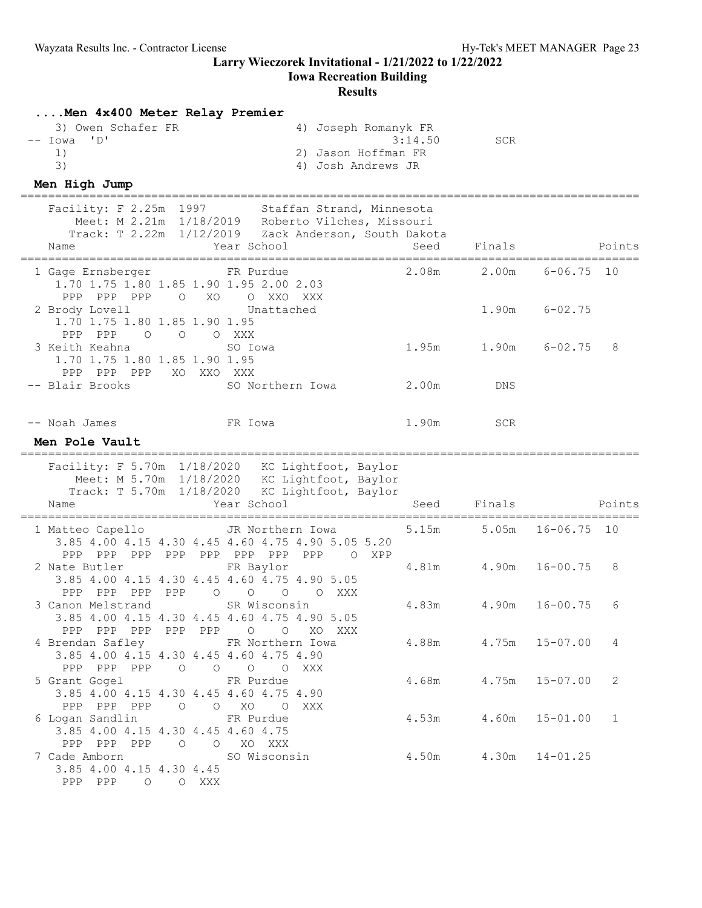### **Iowa Recreation Building**

## **Results**

**....Men 4x400 Meter Relay Premier**

| men tatoo meter nergy fremier<br>3) Owen Schafer FR<br>$\mathsf{L} \cup \mathsf{L}$<br>-- Iowa<br>1)<br>3)<br>Men High Jump                                | 4) Joseph Romanyk FR<br>2) Jason Hoffman FR<br>4) Josh Andrews JR | 3:14.50 | <b>SCR</b>                 |                   |        |
|------------------------------------------------------------------------------------------------------------------------------------------------------------|-------------------------------------------------------------------|---------|----------------------------|-------------------|--------|
| Facility: F 2.25m 1997<br>Meet: M 2.21m 1/18/2019 Roberto Vilches, Missouri<br>Track: T 2.22m 1/12/2019 Zack Anderson, South Dakota<br>Year School<br>Name | Staffan Strand, Minnesota                                         | Seed    | Finals                     |                   | Points |
| FR Purdue<br>1 Gage Ernsberger<br>1.70 1.75 1.80 1.85 1.90 1.95 2.00 2.03                                                                                  |                                                                   | 2.08m   | 2.00m                      | $6 - 06.75$ 10    |        |
| PPP PPP PPP<br>$\circ$<br>XO<br>2 Brody Lovell<br>1.70 1.75 1.80 1.85 1.90 1.95<br>PPP PPP                                                                 | O XXO XXX<br>Unattached                                           |         | 1.90m                      | $6 - 02.75$       |        |
| $\overline{O}$<br>$\circ$<br>O XXX<br>3 Keith Keahna<br>SO Iowa<br>1.70 1.75 1.80 1.85 1.90 1.95<br>PPP PPP PPP                                            |                                                                   | 1.95m   |                            | $1.90m$ $6-02.75$ | 8      |
| XO XXO XXX<br>-- Blair Brooks                                                                                                                              | SO Northern Iowa                                                  | 2.00m   | DNS                        |                   |        |
| -- Noah James<br>FR Iowa<br>Men Pole Vault                                                                                                                 |                                                                   | 1.90m   | SCR                        |                   |        |
| Facility: F 5.70m 1/18/2020 KC Lightfoot, Baylor<br>Meet: M 5.70m 1/18/2020 KC Lightfoot, Baylor<br>Track: T 5.70m 1/18/2020<br>Year School<br>Name        | KC Lightfoot, Baylor                                              | Seed    | Finals                     |                   | Points |
| 1 Matteo Capello                                                                                                                                           | JR Northern Iowa                                                  | 5.15m   | 5.05m                      | $16 - 06.75$      | 10     |
| 3.85 4.00 4.15 4.30 4.45 4.60 4.75 4.90 5.05 5.20<br>PPP PPP PPP<br>PPP PPP PPP PPP                                                                        | PPP<br>O XPP                                                      |         |                            |                   |        |
| 2 Nate Butler<br>FR Baylor<br>3.85 4.00 4.15 4.30 4.45 4.60 4.75 4.90 5.05                                                                                 |                                                                   | 4.81m   | 4.90m                      | $16 - 00.75$      | 8      |
| PPP PPP PPP PPP<br>$\circ$<br>$\circlearrowright$<br>3 Canon Melstrand<br>3.85 4.00 4.15 4.30 4.45 4.60 4.75 4.90 5.05                                     | $\overline{O}$<br>O XXX<br>SR Wisconsin                           | 4.83m   | 4.90m                      | $16 - 00.75$      | 6      |
| PPP PPP PPP PPP PPP 0 0 XO XXX<br>4 Brendan Safley TR Northern Iowa<br>3.85 4.00 4.15 4.30 4.45 4.60 4.75 4.90                                             |                                                                   |         | 4.88m  4.75m  15-07.00  4  |                   |        |
| PPP PPP PPP 0 0 0 0 XXX<br>5 Grant Gogel FR Purdue<br>3.85 4.00 4.15 4.30 4.45 4.60 4.75 4.90                                                              |                                                                   |         | $4.68m$ $4.75m$ $15-07.00$ |                   | 2      |
| PPP PPP PPP 0 0 XO 0 XXX<br>6 Logan Sandlin<br>FR Purdue<br>3.85 4.00 4.15 4.30 4.45 4.60 4.75                                                             |                                                                   |         | $4.53m$ $4.60m$ $15-01.00$ |                   | 1      |
| PPP PPP PPP 0 0 XO XXX<br>7 Cade Amborn<br>SO Wisconsin<br>3.85 4.00 4.15 4.30 4.45<br>PPP PPP 0 0 XXX                                                     |                                                                   |         | $4.50m$ $4.30m$ $14-01.25$ |                   |        |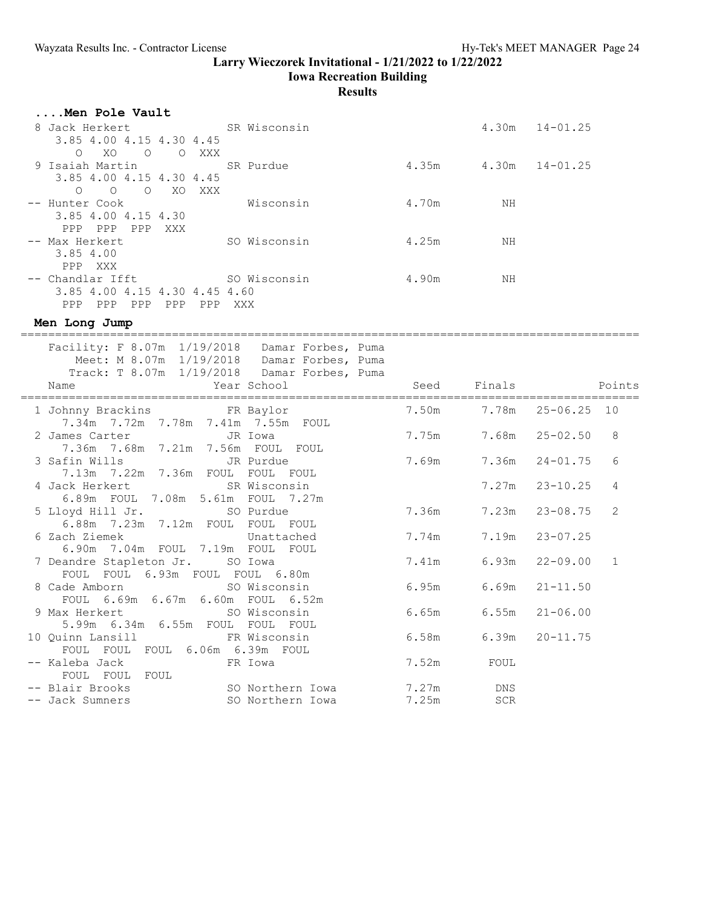**Iowa Recreation Building**

| Men Pole Vault                                                                               |                            |                      |                    |                |
|----------------------------------------------------------------------------------------------|----------------------------|----------------------|--------------------|----------------|
| 8 Jack Herkert<br>SR Wisconsin                                                               |                            |                      | $4.30m$ $14-01.25$ |                |
| 3.85 4.00 4.15 4.30 4.45                                                                     |                            |                      |                    |                |
| $\circ$<br>XO O O XXX<br>9 Isaiah Martin<br>SR Purdue                                        | $4.35m$ $4.30m$ $14-01.25$ |                      |                    |                |
| 3.85 4.00 4.15 4.30 4.45                                                                     |                            |                      |                    |                |
| $\circ$<br>O O XO XXX                                                                        |                            |                      |                    |                |
| -- Hunter Cook<br>Wisconsin                                                                  | 4.70m                      | ΝH                   |                    |                |
| 3.85 4.00 4.15 4.30                                                                          |                            |                      |                    |                |
| PPP PPP PPP XXX                                                                              |                            |                      |                    |                |
| SO Wisconsin<br>-- Max Herkert                                                               | 4.25m                      | NH                   |                    |                |
| 3.85 4.00<br>PPP XXX                                                                         |                            |                      |                    |                |
| SO Wisconsin<br>-- Chandlar Ifft                                                             | 4.90m                      | ΝH                   |                    |                |
| 3.85 4.00 4.15 4.30 4.45 4.60                                                                |                            |                      |                    |                |
| PPP PPP PPP PPP PPP XXX                                                                      |                            |                      |                    |                |
| Men Long Jump                                                                                |                            |                      |                    |                |
|                                                                                              |                            |                      |                    |                |
| Facility: F 8.07m 1/19/2018 Damar Forbes, Puma<br>Meet: M 8.07m 1/19/2018 Damar Forbes, Puma |                            |                      |                    |                |
| Track: T 8.07m 1/19/2018 Damar Forbes, Puma                                                  |                            |                      |                    |                |
| Year School<br>Name                                                                          |                            | Seed Finals          |                    | Points         |
|                                                                                              |                            |                      |                    |                |
|                                                                                              | 7.50m                      | 7.78m                | $25 - 06.25$       | 10             |
| 7.34m 7.72m 7.78m 7.41m 7.55m FOUL                                                           |                            |                      |                    |                |
| 2 James Carter<br>JR Iowa<br>7.36m 7.68m 7.21m 7.56m FOUL FOUL                               |                            | 7.75m 7.68m 25-02.50 |                    | 8              |
| 3 Safin Wills<br>JR Purdue                                                                   | 7.69m                      | 7.36m                | $24 - 01.75$       | 6              |
| 7.13m 7.22m 7.36m FOUL FOUL FOUL                                                             |                            |                      |                    |                |
| 4 Jack Herkert<br>SR Wisconsin                                                               |                            | 7.27m                | $23 - 10.25$       | 4              |
| 6.89m FOUL 7.08m 5.61m FOUL 7.27m                                                            |                            |                      |                    |                |
| 5 Lloyd Hill Jr.<br>SO Purdue                                                                | 7.36m                      | 7.23m                | $23 - 08.75$       | $\overline{2}$ |
| 6.88m 7.23m 7.12m FOUL FOUL FOUL                                                             |                            |                      |                    |                |
| 6 Zach Ziemek<br>Unattached<br>6.90m 7.04m FOUL 7.19m FOUL FOUL                              | 7.74m                      | 7.19m                | $23 - 07.25$       |                |
| 7 Deandre Stapleton Jr. SO Iowa                                                              | 7.41m                      | 6.93m                | $22 - 09.00$       | $\mathbf 1$    |
| FOUL FOUL 6.93m FOUL FOUL 6.80m                                                              |                            |                      |                    |                |
| SO Wisconsin<br>8 Cade Amborn                                                                | 6.95m                      | 6.69m                | $21 - 11.50$       |                |
| FOUL 6.69m 6.67m 6.60m FOUL 6.52m                                                            |                            |                      |                    |                |
| SO Wisconsin<br>9 Max Herkert                                                                | 6.65m                      | 6.55m                | $21 - 06.00$       |                |
| 5.99m 6.34m 6.55m FOUL FOUL FOUL                                                             |                            |                      |                    |                |
| 10 Ouinn Lansill<br>FR Wisconsin<br>FOUL FOUL FOUL 6.06m 6.39m FOUL                          | 6.58m                      | 6.39m                | $20 - 11.75$       |                |
| -- Kaleba Jack<br>FR Iowa                                                                    | 7.52m                      | FOUL                 |                    |                |
| FOUL FOUL<br>FOUL                                                                            |                            |                      |                    |                |
| SO Northern Iowa<br>-- Blair Brooks                                                          | 7.27m                      | DNS                  |                    |                |
| -- Jack Sumners<br>SO Northern Iowa                                                          | 7.25m                      | <b>SCR</b>           |                    |                |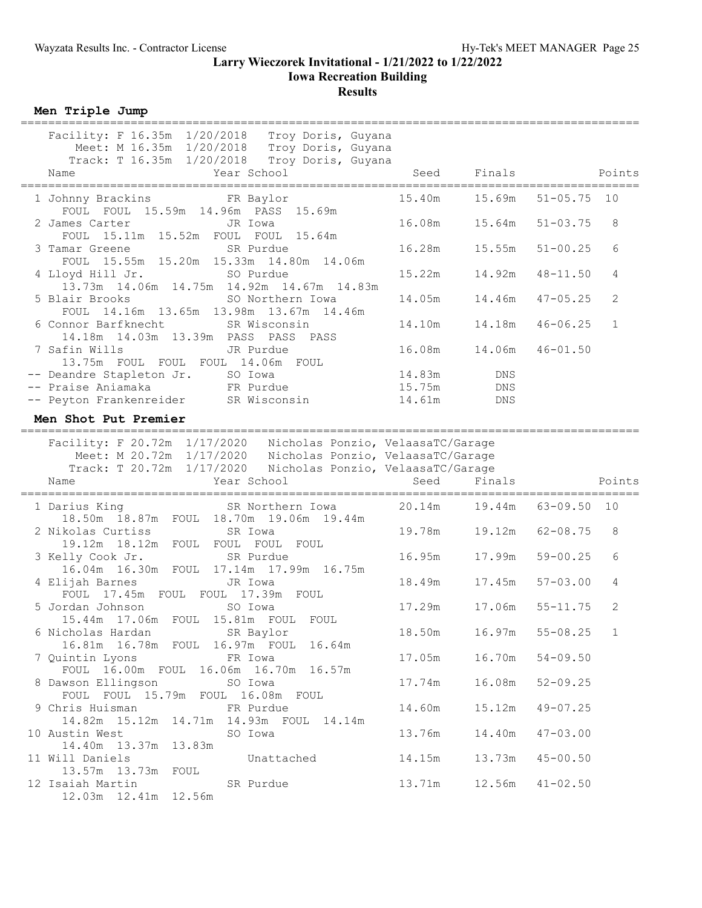### **Larry Wieczorek Invitational - 1/21/2022 to 1/22/2022 Iowa Recreation Building Results**

**Men Triple Jump**

| Facility: F 16.35m 1/20/2018 Troy Doris, Guyana<br>Meet: M 16.35m 1/20/2018 Troy Doris, Guyana<br>Track: T 16.35m 1/20/2018 Troy Doris, Guyana |                              |                            |                     |              |
|------------------------------------------------------------------------------------------------------------------------------------------------|------------------------------|----------------------------|---------------------|--------------|
| Year School<br>Name                                                                                                                            | Seed                         | Finals                     |                     | Points       |
| FOUL FOUL 15.59m 14.96m PASS 15.69m                                                                                                            |                              | 15.40m   15.69m            | $51 - 05.75$        | 10           |
| JR Iowa<br>2 James Carter<br>FOUL 15.11m 15.52m FOUL FOUL 15.64m                                                                               |                              | 16.08m   15.64m            | $51 - 03.75$        | 8            |
| SR Purdue<br>3 Tamar Greene<br>FOUL 15.55m 15.20m 15.33m 14.80m 14.06m                                                                         |                              | 16.28m   15.55m            | $51 - 00.25$        | 6            |
| 4 Lloyd Hill Jr. SO Purdue<br>13.73m  14.06m  14.75m  14.92m  14.67m  14.83m                                                                   | 15.22m                       | 14.92m                     | $48 - 11.50$        | 4            |
| 5 Blair Brooks<br>SO Northern Iowa<br>FOUL 14.16m 13.65m 13.98m 13.67m 14.46m                                                                  | 14.05m                       | 14.46m                     | $47 - 05.25$        | 2            |
| 6 Connor Barfknecht SR Wisconsin<br>14.18m  14.03m  13.39m  PASS  PASS  PASS                                                                   | 14.10m                       | 14.18m                     | $46 - 06.25$        | $\mathbf{1}$ |
| 7 Safin Wills<br>JR Purdue<br>13.75m FOUL FOUL FOUL 14.06m FOUL                                                                                | 16.08m                       | 14.06m                     | $46 - 01.50$        |              |
| -- Deandre Stapleton Jr. SO Iowa                                                                                                               | 14.83m                       | DNS                        |                     |              |
| -- Praise Aniamaka<br>FR Purdue                                                                                                                | 15.75m                       | DNS                        |                     |              |
| -- Peyton Frankenreider SR Wisconsin                                                                                                           | 14.61m                       | DNS                        |                     |              |
| Men Shot Put Premier                                                                                                                           |                              |                            |                     |              |
|                                                                                                                                                |                              |                            |                     |              |
| Facility: F 20.72m 1/17/2020 Nicholas Ponzio, VelaasaTC/Garage<br>Meet: M 20.72m 1/17/2020 Nicholas Ponzio, VelaasaTC/Garage                   |                              |                            |                     |              |
|                                                                                                                                                |                              |                            |                     |              |
|                                                                                                                                                |                              |                            |                     |              |
| Track: T 20.72m 1/17/2020 Nicholas Ponzio, VelaasaTC/Garage                                                                                    |                              |                            |                     |              |
| Year School<br>Name                                                                                                                            | Seed                         | Finals                     |                     | Points       |
| SR Northern Iowa<br>1 Darius King                                                                                                              | 20.14m  19.44m  63-09.50  10 |                            |                     |              |
| 18.50m  18.87m  FOUL  18.70m  19.06m  19.44m<br>2 Nikolas Curtiss<br>SR Iowa                                                                   | 19.78m                       | 19.12m                     | $62 - 08.75$        | 8            |
| 19.12m 18.12m FOUL FOUL FOUL FOUL<br>3 Kelly Cook Jr. SR Purdue                                                                                | 16.95m                       | 17.99m                     | $59 - 00.25$        | 6            |
| 16.04m  16.30m  FOUL  17.14m  17.99m  16.75m<br>4 Elijah Barnes Santa JR Iowa                                                                  |                              | 18.49m    17.45m           | $57 - 03.00$        | 4            |
| FOUL 17.45m FOUL FOUL 17.39m FOUL<br>5 Jordan Johnson<br>SO Iowa                                                                               |                              | 17.29m   17.06m   55-11.75 |                     | 2            |
| 15.44m 17.06m FOUL 15.81m FOUL FOUL                                                                                                            | 18.50m                       |                            | $16.97m$ $55-08.25$ |              |
| 16.81m  16.78m  FOUL  16.97m  FOUL  16.64m<br>7 Quintin Lyons<br>FR Iowa                                                                       | 17.05m                       | 16.70m                     | $54 - 09.50$        |              |
| FOUL 16.00m FOUL 16.06m 16.70m 16.57m<br>8 Dawson Ellingson<br>SO Iowa                                                                         | 17.74m                       | 16.08m                     | $52 - 09.25$        |              |
| FOUL FOUL 15.79m FOUL 16.08m FOUL<br>9 Chris Huisman<br>FR Purdue                                                                              | 14.60m                       | 15.12m                     | $49 - 07.25$        |              |
| 14.82m  15.12m  14.71m  14.93m  FOUL  14.14m<br>10 Austin West<br>SO Iowa<br>14.40m  13.37m  13.83m                                            | 13.76m                       | 14.40m                     | $47 - 03.00$        |              |
| 11 Will Daniels<br>Unattached<br>13.57m 13.73m FOUL                                                                                            | 14.15m                       | 13.73m                     | $45 - 00.50$        |              |